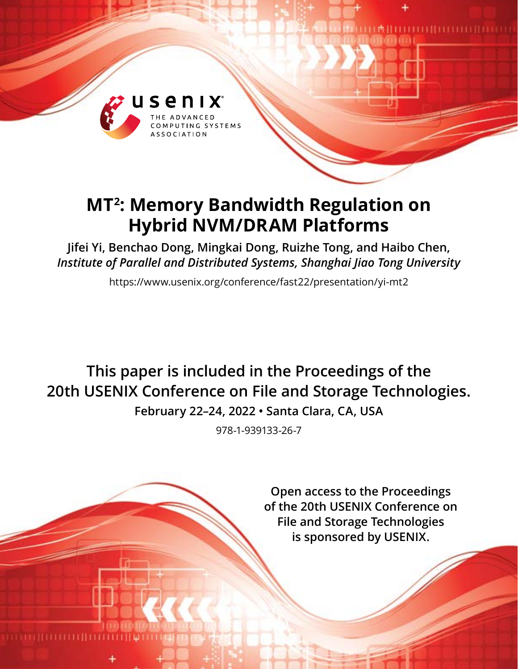

# **MT2: Memory Bandwidth Regulation on Hybrid NVM/DRAM Platforms**

**Jifei Yi, Benchao Dong, Mingkai Dong, Ruizhe Tong, and Haibo Chen,**  *Institute of Parallel and Distributed Systems, Shanghai Jiao Tong University*

https://www.usenix.org/conference/fast22/presentation/yi-mt2

**This paper is included in the Proceedings of the 20th USENIX Conference on File and Storage Technologies.**

**February 22–24, 2022 • Santa Clara, CA, USA**

978-1-939133-26-7

**Open access to the Proceedings of the 20th USENIX Conference on File and Storage Technologies is sponsored by USENIX.**

**THE MANIFESTER OF THE PERSON IN THE UPPER**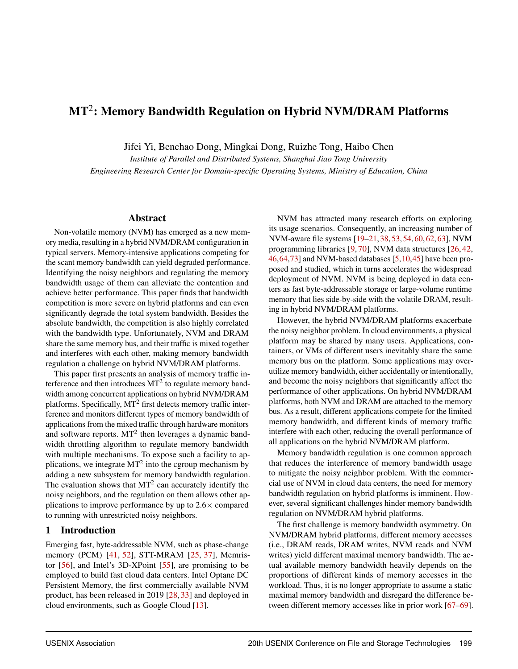# $\mathbf{MT}^2$ : Memory Bandwidth Regulation on Hybrid NVM/DRAM Platforms

Jifei Yi, Benchao Dong, Mingkai Dong, Ruizhe Tong, Haibo Chen

*Institute of Parallel and Distributed Systems, Shanghai Jiao Tong University Engineering Research Center for Domain-specific Operating Systems, Ministry of Education, China*

### Abstract

Non-volatile memory (NVM) has emerged as a new memory media, resulting in a hybrid NVM/DRAM configuration in typical servers. Memory-intensive applications competing for the scant memory bandwidth can yield degraded performance. Identifying the noisy neighbors and regulating the memory bandwidth usage of them can alleviate the contention and achieve better performance. This paper finds that bandwidth competition is more severe on hybrid platforms and can even significantly degrade the total system bandwidth. Besides the absolute bandwidth, the competition is also highly correlated with the bandwidth type. Unfortunately, NVM and DRAM share the same memory bus, and their traffic is mixed together and interferes with each other, making memory bandwidth regulation a challenge on hybrid NVM/DRAM platforms.

This paper first presents an analysis of memory traffic interference and then introduces  $MT<sup>2</sup>$  to regulate memory bandwidth among concurrent applications on hybrid NVM/DRAM platforms. Specifically,  $MT<sup>2</sup>$  first detects memory traffic interference and monitors different types of memory bandwidth of applications from the mixed traffic through hardware monitors and software reports.  $MT<sup>2</sup>$  then leverages a dynamic bandwidth throttling algorithm to regulate memory bandwidth with multiple mechanisms. To expose such a facility to applications, we integrate  $MT<sup>2</sup>$  into the cgroup mechanism by adding a new subsystem for memory bandwidth regulation. The evaluation shows that  $MT<sup>2</sup>$  can accurately identify the noisy neighbors, and the regulation on them allows other applications to improve performance by up to 2.6× compared to running with unrestricted noisy neighbors.

### 1 Introduction

Emerging fast, byte-addressable NVM, such as phase-change memory (PCM) [\[41,](#page-15-0) [52\]](#page-16-0), STT-MRAM [\[25,](#page-14-0) [37\]](#page-15-1), Memristor [\[56\]](#page-16-1), and Intel's 3D-XPoint [\[55\]](#page-16-2), are promising to be employed to build fast cloud data centers. Intel Optane DC Persistent Memory, the first commercially available NVM product, has been released in 2019 [\[28,](#page-15-2) [33\]](#page-15-3) and deployed in cloud environments, such as Google Cloud [\[13\]](#page-14-1).

NVM has attracted many research efforts on exploring its usage scenarios. Consequently, an increasing number of NVM-aware file systems [\[19](#page-14-2)[–21,](#page-14-3) [38,](#page-15-4) [53,](#page-16-3) [54,](#page-16-4) [60,](#page-16-5) [62,](#page-16-6) [63\]](#page-16-7), NVM programming libraries [\[9,](#page-14-4) [70\]](#page-17-0), NVM data structures [\[26,](#page-14-5) [42,](#page-15-5) [46](#page-15-6)[,64,](#page-17-1)[73\]](#page-17-2) and NVM-based databases [\[5,](#page-14-6)[10,](#page-14-7)[45\]](#page-15-7) have been proposed and studied, which in turns accelerates the widespread deployment of NVM. NVM is being deployed in data centers as fast byte-addressable storage or large-volume runtime memory that lies side-by-side with the volatile DRAM, resulting in hybrid NVM/DRAM platforms.

However, the hybrid NVM/DRAM platforms exacerbate the noisy neighbor problem. In cloud environments, a physical platform may be shared by many users. Applications, containers, or VMs of different users inevitably share the same memory bus on the platform. Some applications may overutilize memory bandwidth, either accidentally or intentionally, and become the noisy neighbors that significantly affect the performance of other applications. On hybrid NVM/DRAM platforms, both NVM and DRAM are attached to the memory bus. As a result, different applications compete for the limited memory bandwidth, and different kinds of memory traffic interfere with each other, reducing the overall performance of all applications on the hybrid NVM/DRAM platform.

Memory bandwidth regulation is one common approach that reduces the interference of memory bandwidth usage to mitigate the noisy neighbor problem. With the commercial use of NVM in cloud data centers, the need for memory bandwidth regulation on hybrid platforms is imminent. However, several significant challenges hinder memory bandwidth regulation on NVM/DRAM hybrid platforms.

The first challenge is memory bandwidth asymmetry. On NVM/DRAM hybrid platforms, different memory accesses (i.e., DRAM reads, DRAM writes, NVM reads and NVM writes) yield different maximal memory bandwidth. The actual available memory bandwidth heavily depends on the proportions of different kinds of memory accesses in the workload. Thus, it is no longer appropriate to assume a static maximal memory bandwidth and disregard the difference between different memory accesses like in prior work [\[67–](#page-17-3)[69\]](#page-17-4).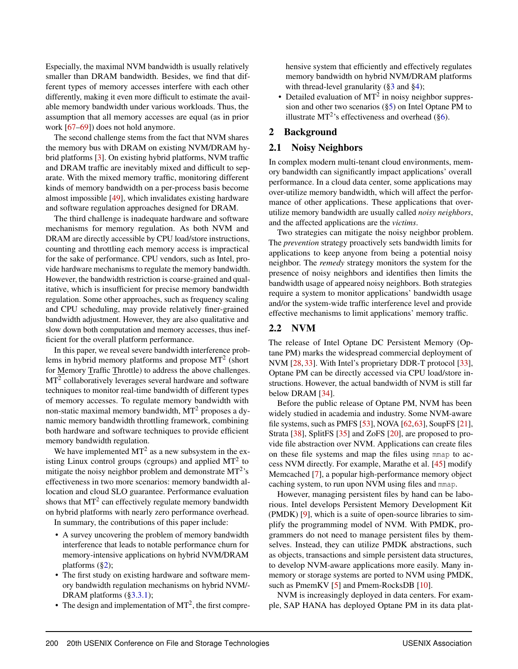Especially, the maximal NVM bandwidth is usually relatively smaller than DRAM bandwidth. Besides, we find that different types of memory accesses interfere with each other differently, making it even more difficult to estimate the available memory bandwidth under various workloads. Thus, the assumption that all memory accesses are equal (as in prior work [\[67–](#page-17-3)[69\]](#page-17-4)) does not hold anymore.

The second challenge stems from the fact that NVM shares the memory bus with DRAM on existing NVM/DRAM hybrid platforms [\[3\]](#page-14-8). On existing hybrid platforms, NVM traffic and DRAM traffic are inevitably mixed and difficult to separate. With the mixed memory traffic, monitoring different kinds of memory bandwidth on a per-process basis become almost impossible [\[49\]](#page-16-8), which invalidates existing hardware and software regulation approaches designed for DRAM.

The third challenge is inadequate hardware and software mechanisms for memory regulation. As both NVM and DRAM are directly accessible by CPU load/store instructions, counting and throttling each memory access is impractical for the sake of performance. CPU vendors, such as Intel, provide hardware mechanisms to regulate the memory bandwidth. However, the bandwidth restriction is coarse-grained and qualitative, which is insufficient for precise memory bandwidth regulation. Some other approaches, such as frequency scaling and CPU scheduling, may provide relatively finer-grained bandwidth adjustment. However, they are also qualitative and slow down both computation and memory accesses, thus inefficient for the overall platform performance.

In this paper, we reveal severe bandwidth interference problems in hybrid memory platforms and propose  $MT^2$  (short for Memory Traffic Throttle) to address the above challenges.  $MT<sup>2</sup>$  collaboratively leverages several hardware and software techniques to monitor real-time bandwidth of different types of memory accesses. To regulate memory bandwidth with non-static maximal memory bandwidth, MT<sup>2</sup> proposes a dynamic memory bandwidth throttling framework, combining both hardware and software techniques to provide efficient memory bandwidth regulation.

We have implemented  $MT^2$  as a new subsystem in the existing Linux control groups (cgroups) and applied  $MT<sup>2</sup>$  to mitigate the noisy neighbor problem and demonstrate  $MT^2$ 's effectiveness in two more scenarios: memory bandwidth allocation and cloud SLO guarantee. Performance evaluation shows that  $MT^2$  can effectively regulate memory bandwidth on hybrid platforms with nearly zero performance overhead.

In summary, the contributions of this paper include:

- A survey uncovering the problem of memory bandwidth interference that leads to notable performance churn for memory-intensive applications on hybrid NVM/DRAM platforms  $(\S_2)$ ;
- The first study on existing hardware and software memory bandwidth regulation mechanisms on hybrid NVM/- DRAM platforms ([§3.3.1\)](#page-6-0);
- The design and implementation of  $MT<sup>2</sup>$ , the first compre-

hensive system that efficiently and effectively regulates memory bandwidth on hybrid NVM/DRAM platforms with thread-level granularity ([§3](#page-4-0) and [§4\)](#page-7-0);

• Detailed evaluation of  $MT<sup>2</sup>$  in noisy neighbor suppression and other two scenarios ([§5\)](#page-8-0) on Intel Optane PM to illustrate MT<sup>2</sup>'s effectiveness and overhead ([§6\)](#page-9-0).

### <span id="page-2-0"></span>2 Background

### <span id="page-2-1"></span>2.1 Noisy Neighbors

In complex modern multi-tenant cloud environments, memory bandwidth can significantly impact applications' overall performance. In a cloud data center, some applications may over-utilize memory bandwidth, which will affect the performance of other applications. These applications that overutilize memory bandwidth are usually called *noisy neighbors*, and the affected applications are the *victims*.

Two strategies can mitigate the noisy neighbor problem. The *prevention* strategy proactively sets bandwidth limits for applications to keep anyone from being a potential noisy neighbor. The *remedy* strategy monitors the system for the presence of noisy neighbors and identifies then limits the bandwidth usage of appeared noisy neighbors. Both strategies require a system to monitor applications' bandwidth usage and/or the system-wide traffic interference level and provide effective mechanisms to limit applications' memory traffic.

### 2.2 NVM

The release of Intel Optane DC Persistent Memory (Optane PM) marks the widespread commercial deployment of NVM [\[28,](#page-15-2) [33\]](#page-15-3). With Intel's proprietary DDR-T protocol [\[33\]](#page-15-3), Optane PM can be directly accessed via CPU load/store instructions. However, the actual bandwidth of NVM is still far below DRAM [\[34\]](#page-15-8).

Before the public release of Optane PM, NVM has been widely studied in academia and industry. Some NVM-aware file systems, such as PMFS [\[53\]](#page-16-3), NOVA [\[62,](#page-16-6)[63\]](#page-16-7), SoupFS [\[21\]](#page-14-3), Strata [\[38\]](#page-15-4), SplitFS [\[35\]](#page-15-9) and ZoFS [\[20\]](#page-14-9), are proposed to provide file abstraction over NVM. Applications can create files on these file systems and map the files using mmap to access NVM directly. For example, Marathe et al. [\[45\]](#page-15-7) modify Memcached [\[7\]](#page-14-10), a popular high-performance memory object caching system, to run upon NVM using files and mmap.

However, managing persistent files by hand can be laborious. Intel develops Persistent Memory Development Kit (PMDK) [\[9\]](#page-14-4), which is a suite of open-source libraries to simplify the programming model of NVM. With PMDK, programmers do not need to manage persistent files by themselves. Instead, they can utilize PMDK abstractions, such as objects, transactions and simple persistent data structures, to develop NVM-aware applications more easily. Many inmemory or storage systems are ported to NVM using PMDK, such as PmemKV [\[5\]](#page-14-6) and Pmem-RocksDB [\[10\]](#page-14-7).

NVM is increasingly deployed in data centers. For example, SAP HANA has deployed Optane PM in its data plat-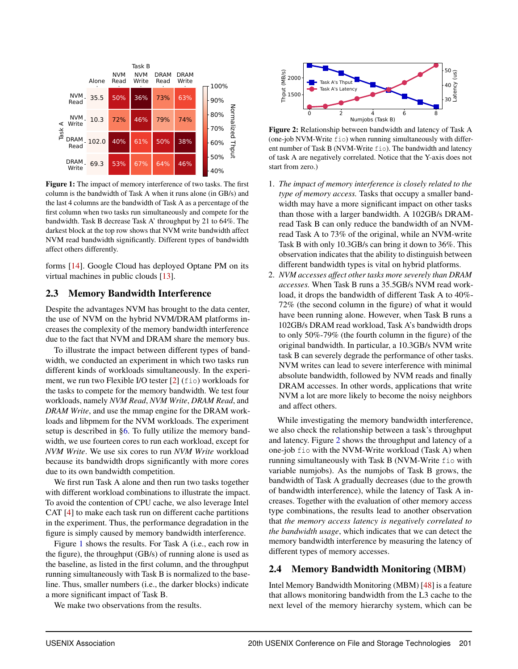<span id="page-3-0"></span>

Figure 1: The impact of memory interference of two tasks. The first column is the bandwidth of Task A when it runs alone (in GB/s) and the last 4 columns are the bandwidth of Task A as a percentage of the first column when two tasks run simultaneously and compete for the bandwidth. Task B decrease Task A' throughput by 21 to 64%. The darkest block at the top row shows that NVM write bandwidth affect NVM read bandwidth significantly. Different types of bandwidth affect others differently.

forms [\[14\]](#page-14-11). Google Cloud has deployed Optane PM on its virtual machines in public clouds [\[13\]](#page-14-1).

### <span id="page-3-2"></span>2.3 Memory Bandwidth Interference

Despite the advantages NVM has brought to the data center, the use of NVM on the hybrid NVM/DRAM platforms increases the complexity of the memory bandwidth interference due to the fact that NVM and DRAM share the memory bus.

To illustrate the impact between different types of bandwidth, we conducted an experiment in which two tasks run different kinds of workloads simultaneously. In the experiment, we run two Flexible I/O tester [\[2\]](#page-14-12) (fio) workloads for the tasks to compete for the memory bandwidth. We test four workloads, namely *NVM Read*, *NVM Write*, *DRAM Read*, and *DRAM Write*, and use the mmap engine for the DRAM workloads and libpmem for the NVM workloads. The experiment setup is described in [§6.](#page-9-0) To fully utilize the memory bandwidth, we use fourteen cores to run each workload, except for *NVM Write*. We use six cores to run *NVM Write* workload because its bandwidth drops significantly with more cores due to its own bandwidth competition.

We first run Task A alone and then run two tasks together with different workload combinations to illustrate the impact. To avoid the contention of CPU cache, we also leverage Intel CAT [\[4\]](#page-14-13) to make each task run on different cache partitions in the experiment. Thus, the performance degradation in the figure is simply caused by memory bandwidth interference.

Figure [1](#page-3-0) shows the results. For Task A (i.e., each row in the figure), the throughput (GB/s) of running alone is used as the baseline, as listed in the first column, and the throughput running simultaneously with Task B is normalized to the baseline. Thus, smaller numbers (i.e., the darker blocks) indicate a more significant impact of Task B.

<span id="page-3-1"></span>

Figure 2: Relationship between bandwidth and latency of Task A (one-job NVM-Write fio) when running simultaneously with different number of Task B (NVM-Write fio). The bandwidth and latency of task A are negatively correlated. Notice that the Y-axis does not start from zero.)

- 1. *The impact of memory interference is closely related to the type of memory access.* Tasks that occupy a smaller bandwidth may have a more significant impact on other tasks than those with a larger bandwidth. A 102GB/s DRAMread Task B can only reduce the bandwidth of an NVMread Task A to 73% of the original, while an NVM-write Task B with only 10.3GB/s can bring it down to 36%. This observation indicates that the ability to distinguish between different bandwidth types is vital on hybrid platforms.
- 2. *NVM accesses affect other tasks more severely than DRAM accesses.* When Task B runs a 35.5GB/s NVM read workload, it drops the bandwidth of different Task A to 40%- 72% (the second column in the figure) of what it would have been running alone. However, when Task B runs a 102GB/s DRAM read workload, Task A's bandwidth drops to only 50%-79% (the fourth column in the figure) of the original bandwidth. In particular, a 10.3GB/s NVM write task B can severely degrade the performance of other tasks. NVM writes can lead to severe interference with minimal absolute bandwidth, followed by NVM reads and finally DRAM accesses. In other words, applications that write NVM a lot are more likely to become the noisy neighbors and affect others.

Prove States of the Matter of the Ramar and the results in the results of the results in the results of the results. Sometimes that the results of the results of the results. Sometimes the results of the results of the re While investigating the memory bandwidth interference, we also check the relationship between a task's throughput and latency. Figure [2](#page-3-1) shows the throughput and latency of a one-job fio with the NVM-Write workload (Task A) when running simultaneously with Task B (NVM-Write fio with variable numjobs). As the numjobs of Task B grows, the bandwidth of Task A gradually decreases (due to the growth of bandwidth interference), while the latency of Task A increases. Together with the evaluation of other memory access type combinations, the results lead to another observation that *the memory access latency is negatively correlated to the bandwidth usage*, which indicates that we can detect the memory bandwidth interference by measuring the latency of different types of memory accesses.

### 2.4 Memory Bandwidth Monitoring (MBM)

Intel Memory Bandwidth Monitoring (MBM) [\[48\]](#page-16-9) is a feature that allows monitoring bandwidth from the L3 cache to the next level of the memory hierarchy system, which can be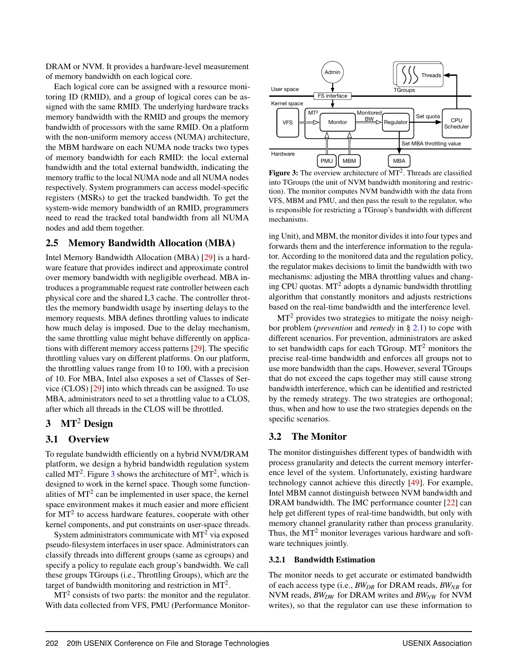DRAM or NVM. It provides a hardware-level measurement of memory bandwidth on each logical core.

Each logical core can be assigned with a resource monitoring ID (RMID), and a group of logical cores can be assigned with the same RMID. The underlying hardware tracks memory bandwidth with the RMID and groups the memory bandwidth of processors with the same RMID. On a platform with the non-uniform memory access (NUMA) architecture, the MBM hardware on each NUMA node tracks two types of memory bandwidth for each RMID: the local external bandwidth and the total external bandwidth, indicating the memory traffic to the local NUMA node and all NUMA nodes respectively. System programmers can access model-specific registers (MSRs) to get the tracked bandwidth. To get the system-wide memory bandwidth of an RMID, programmers need to read the tracked total bandwidth from all NUMA nodes and add them together.

### 2.5 Memory Bandwidth Allocation (MBA)

Intel Memory Bandwidth Allocation (MBA) [\[29\]](#page-15-10) is a hardware feature that provides indirect and approximate control over memory bandwidth with negligible overhead. MBA introduces a programmable request rate controller between each physical core and the shared L3 cache. The controller throttles the memory bandwidth usage by inserting delays to the memory requests. MBA defines throttling values to indicate how much delay is imposed. Due to the delay mechanism, the same throttling value might behave differently on applications with different memory access patterns [\[29\]](#page-15-10). The specific throttling values vary on different platforms. On our platform, the throttling values range from 10 to 100, with a precision of 10. For MBA, Intel also exposes a set of Classes of Service (CLOS) [\[29\]](#page-15-10) into which threads can be assigned. To use MBA, administrators need to set a throttling value to a CLOS, after which all threads in the CLOS will be throttled.

### <span id="page-4-0"></span> $3$  MT<sup>2</sup> Design

### 3.1 Overview

To regulate bandwidth efficiently on a hybrid NVM/DRAM platform, we design a hybrid bandwidth regulation system called MT<sup>2</sup>. Figure [3](#page-4-1) shows the architecture of MT<sup>2</sup>, which is designed to work in the kernel space. Though some functionalities of  $MT<sup>2</sup>$  can be implemented in user space, the kernel space environment makes it much easier and more efficient for  $MT<sup>2</sup>$  to access hardware features, cooperate with other kernel components, and put constraints on user-space threads.

System administrators communicate with  $MT<sup>2</sup>$  via exposed pseudo-filesystem interfaces in user space. Administrators can classify threads into different groups (same as cgroups) and specify a policy to regulate each group's bandwidth. We call these groups TGroups (i.e., Throttling Groups), which are the target of bandwidth monitoring and restriction in  $MT<sup>2</sup>$ .

 $MT<sup>2</sup>$  consists of two parts: the monitor and the regulator. With data collected from VFS, PMU (Performance Monitor-

<span id="page-4-1"></span>

Figure 3: The overview architecture of  $MT<sup>2</sup>$ . Threads are classified into TGroups (the unit of NVM bandwidth monitoring and restriction). The monitor computes NVM bandwidth with the data from VFS, MBM and PMU, and then pass the result to the regulator, who is responsible for restricting a TGroup's bandwidth with different mechanisms.

ing Unit), and MBM, the monitor divides it into four types and forwards them and the interference information to the regulator. According to the monitored data and the regulation policy, the regulator makes decisions to limit the bandwidth with two mechanisms: adjusting the MBA throttling values and changing CPU quotas.  $MT^2$  adopts a dynamic bandwidth throttling algorithm that constantly monitors and adjusts restrictions based on the real-time bandwidth and the interference level.

 $MT<sup>2</sup>$  provides two strategies to mitigate the noisy neighbor problem (*prevention* and *remedy* in § [2.1\)](#page-2-1) to cope with different scenarios. For prevention, administrators are asked to set bandwidth caps for each TGroup. MT<sup>2</sup> monitors the precise real-time bandwidth and enforces all groups not to use more bandwidth than the caps. However, several TGroups that do not exceed the caps together may still cause strong bandwidth interference, which can be identified and restricted by the remedy strategy. The two strategies are orthogonal; thus, when and how to use the two strategies depends on the specific scenarios.

### 3.2 The Monitor

The monitor distinguishes different types of bandwidth with process granularity and detects the current memory interference level of the system. Unfortunately, existing hardware technology cannot achieve this directly [\[49\]](#page-16-8). For example, Intel MBM cannot distinguish between NVM bandwidth and DRAM bandwidth. The IMC performance counter [\[22\]](#page-14-14) can help get different types of real-time bandwidth, but only with memory channel granularity rather than process granularity. Thus, the  $MT<sup>2</sup>$  monitor leverages various hardware and software techniques jointly.

### <span id="page-4-2"></span>3.2.1 Bandwidth Estimation

The monitor needs to get accurate or estimated bandwidth of each access type (i.e., *BWDR* for DRAM reads, *BWNR* for NVM reads, *BWDW* for DRAM writes and *BWNW* for NVM writes), so that the regulator can use these information to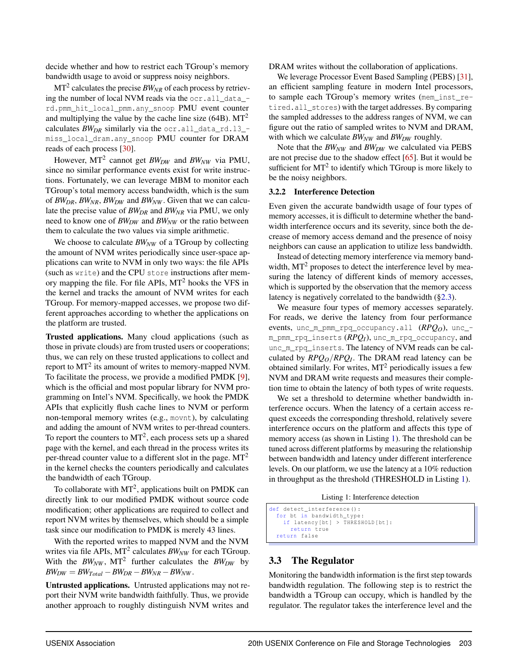decide whether and how to restrict each TGroup's memory bandwidth usage to avoid or suppress noisy neighbors.

 $\mathbf{MT}^2$  calculates the precise  $BW_{NR}$  of each process by retrieving the number of local NVM reads via the ocr.all\_data\_ rd.pmm\_hit\_local\_pmm.any\_snoop PMU event counter and multiplying the value by the cache line size  $(64B)$ . MT<sup>2</sup> calculates *BWDR* similarly via the ocr.all\_data\_rd.l3\_ miss\_local\_dram.any\_snoop PMU counter for DRAM reads of each process [\[30\]](#page-15-11).

However, MT<sup>2</sup> cannot get *BWDW* and *BWNW* via PMU, since no similar performance events exist for write instructions. Fortunately, we can leverage MBM to monitor each TGroup's total memory access bandwidth, which is the sum of *BWDR*, *BWNR*, *BWDW* and *BWNW* . Given that we can calculate the precise value of *BWDR* and *BWNR* via PMU, we only need to know one of *BWDW* and *BWNW* or the ratio between them to calculate the two values via simple arithmetic.

We choose to calculate *BW*<sub>*NW*</sub> of a TGroup by collecting the amount of NVM writes periodically since user-space applications can write to NVM in only two ways: the file APIs (such as write) and the CPU store instructions after memory mapping the file. For file APIs,  $MT<sup>2</sup>$  hooks the VFS in the kernel and tracks the amount of NVM writes for each TGroup. For memory-mapped accesses, we propose two different approaches according to whether the applications on the platform are trusted.

Trusted applications. Many cloud applications (such as those in private clouds) are from trusted users or cooperations; thus, we can rely on these trusted applications to collect and report to  $MT^2$  its amount of writes to memory-mapped NVM. To facilitate the process, we provide a modified PMDK [\[9\]](#page-14-4), which is the official and most popular library for NVM programming on Intel's NVM. Specifically, we hook the PMDK APIs that explicitly flush cache lines to NVM or perform non-temporal memory writes (e.g., movnt), by calculating and adding the amount of NVM writes to per-thread counters. To report the counters to  $MT^2$ , each process sets up a shared page with the kernel, and each thread in the process writes its per-thread counter value to a different slot in the page.  $MT<sup>2</sup>$ in the kernel checks the counters periodically and calculates the bandwidth of each TGroup.

To collaborate with  $MT^2$ , applications built on PMDK can directly link to our modified PMDK without source code modification; other applications are required to collect and report NVM writes by themselves, which should be a simple task since our modification to PMDK is merely 43 lines.

With the reported writes to mapped NVM and the NVM writes via file APIs, MT<sup>2</sup> calculates *BW<sub>NW</sub>* for each TGroup. With the  $BW_{NW}$ , MT<sup>2</sup> further calculates the  $BW_{DW}$  by  $BW_{DW} = BW_{Total} - BW_{DR} - BW_{NR} - BW_{NW}$ .

Untrusted applications. Untrusted applications may not report their NVM write bandwidth faithfully. Thus, we provide another approach to roughly distinguish NVM writes and

DRAM writes without the collaboration of applications.

We leverage Processor Event Based Sampling (PEBS) [\[31\]](#page-15-12), an efficient sampling feature in modern Intel processors, to sample each TGroup's memory writes (mem\_inst\_retired.all\_stores) with the target addresses. By comparing the sampled addresses to the address ranges of NVM, we can figure out the ratio of sampled writes to NVM and DRAM, with which we calculate  $BW_{NW}$  and  $BW_{DW}$  roughly.

Note that the *BW*<sub>*NW*</sub> and *BW*<sub>*DW*</sub> we calculated via PEBS are not precise due to the shadow effect [\[65\]](#page-17-5). But it would be sufficient for  $MT<sup>2</sup>$  to identify which TGroup is more likely to be the noisy neighbors.

#### <span id="page-5-1"></span>3.2.2 Interference Detection

Even given the accurate bandwidth usage of four types of memory accesses, it is difficult to determine whether the bandwidth interference occurs and its severity, since both the decrease of memory access demand and the presence of noisy neighbors can cause an application to utilize less bandwidth.

Instead of detecting memory interference via memory bandwidth,  $MT<sup>2</sup>$  proposes to detect the interference level by measuring the latency of different kinds of memory accesses, which is supported by the observation that the memory access latency is negatively correlated to the bandwidth ([§2.3\)](#page-3-2).

We measure four types of memory accesses separately. For reads, we derive the latency from four performance events, unc m pmm rpq occupancy.all  $(RPQ_0)$ , unc m\_pmm\_rpq\_inserts (*RPQI*), unc\_m\_rpq\_occupancy, and unc\_m\_rpq\_inserts. The latency of NVM reads can be calculated by *RPQO*/*RPQ<sup>I</sup>* . The DRAM read latency can be obtained similarly. For writes,  $MT<sup>2</sup>$  periodically issues a few NVM and DRAM write requests and measures their completion time to obtain the latency of both types of write requests.

We set a threshold to determine whether bandwidth interference occurs. When the latency of a certain access request exceeds the corresponding threshold, relatively severe interference occurs on the platform and affects this type of memory access (as shown in Listing [1\)](#page-5-0). The threshold can be tuned across different platforms by measuring the relationship between bandwidth and latency under different interference levels. On our platform, we use the latency at a 10% reduction in throughput as the threshold (THRESHOLD in Listing [1\)](#page-5-0).

Listing 1: Interference detection

```
def detect_interference () :
 for bt in bandwidth_type:<br>if latency[bt] > THRESHOLD[bt]:
      return true
return false
```
### 3.3 The Regulator

Monitoring the bandwidth information is the first step towards bandwidth regulation. The following step is to restrict the bandwidth a TGroup can occupy, which is handled by the regulator. The regulator takes the interference level and the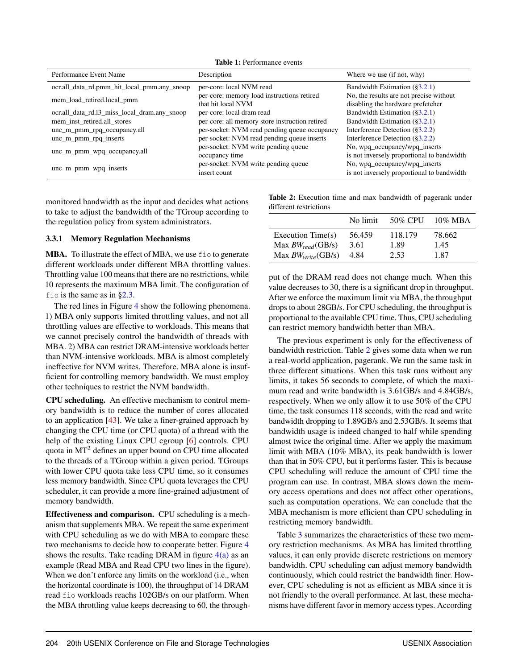Table 1: Performance events

| Performance Event Name                       | Description                                                      | Where we use (if not, why)                                                   |
|----------------------------------------------|------------------------------------------------------------------|------------------------------------------------------------------------------|
| ocr.all_data_rd.pmm_hit_local_pmm.any_snoop  | per-core: local NVM read                                         | Bandwidth Estimation $(\S3.2.1)$                                             |
| mem_load_retired.local_pmm                   | per-core: memory load instructions retired<br>that hit local NVM | No, the results are not precise without<br>disabling the hardware prefetcher |
| ocr.all_data_rd.l3_miss_local_dram.any_snoop | per-core: local dram read                                        | Bandwidth Estimation $(\S3.2.1)$                                             |
| mem_inst_retired.all_stores                  | per-core: all memory store instruction retired                   | Bandwidth Estimation $(\S3.2.1)$                                             |
| unc_m_pmm_rpq_occupancy.all                  | per-socket: NVM read pending queue occupancy                     | Interference Detection $(\S3.2.2)$                                           |
| unc_m_pmm_rpq_inserts                        | per-socket: NVM read pending queue inserts                       | Interference Detection $(\S3.2.2)$                                           |
| unc_m_pmm_wpq_occupancy.all                  | per-socket: NVM write pending queue<br>occupancy time            | No, wpq_occupancy/wpq_inserts<br>is not inversely proportional to bandwidth  |
| unc_m_pmm_wpq_inserts                        | per-socket: NVM write pending queue<br>insert count              | No, wpq_occupancy/wpq_inserts<br>is not inversely proportional to bandwidth  |

monitored bandwidth as the input and decides what actions to take to adjust the bandwidth of the TGroup according to the regulation policy from system administrators.

### <span id="page-6-0"></span>3.3.1 Memory Regulation Mechanisms

MBA. To illustrate the effect of MBA, we use fio to generate different workloads under different MBA throttling values. Throttling value 100 means that there are no restrictions, while 10 represents the maximum MBA limit. The configuration of fio is the same as in [§2.3.](#page-3-2)

The red lines in Figure [4](#page-7-1) show the following phenomena. 1) MBA only supports limited throttling values, and not all throttling values are effective to workloads. This means that we cannot precisely control the bandwidth of threads with MBA. 2) MBA can restrict DRAM-intensive workloads better than NVM-intensive workloads. MBA is almost completely ineffective for NVM writes. Therefore, MBA alone is insufficient for controlling memory bandwidth. We must employ other techniques to restrict the NVM bandwidth.

CPU scheduling. An effective mechanism to control memory bandwidth is to reduce the number of cores allocated to an application [\[43\]](#page-15-13). We take a finer-grained approach by changing the CPU time (or CPU quota) of a thread with the help of the existing Linux CPU cgroup [\[6\]](#page-14-15) controls. CPU quota in MT<sup>2</sup> defines an upper bound on CPU time allocated to the threads of a TGroup within a given period. TGroups with lower CPU quota take less CPU time, so it consumes less memory bandwidth. Since CPU quota leverages the CPU scheduler, it can provide a more fine-grained adjustment of memory bandwidth.

Effectiveness and comparison. CPU scheduling is a mechanism that supplements MBA. We repeat the same experiment with CPU scheduling as we do with MBA to compare these two mechanisms to decide how to cooperate better. Figure [4](#page-7-1) shows the results. Take reading DRAM in figure  $4(a)$  as an example (Read MBA and Read CPU two lines in the figure). When we don't enforce any limits on the workload (i.e., when the horizontal coordinate is 100), the throughput of 14 DRAM read fio workloads reachs 102GB/s on our platform. When the MBA throttling value keeps decreasing to 60, the through<span id="page-6-1"></span>Table 2: Execution time and max bandwidth of pagerank under different restrictions

|                                            | No limit       |                 | 50% CPU 10% MBA |
|--------------------------------------------|----------------|-----------------|-----------------|
| Execution Time(s)<br>Max $BW_{read}(GB/s)$ | 56.459<br>3.61 | 118.179<br>1.89 | 78.662<br>1.45  |
| Max $BW_{write}(GB/s)$                     | 4.84           | 2.53            | 1.87            |

put of the DRAM read does not change much. When this value decreases to 30, there is a significant drop in throughput. After we enforce the maximum limit via MBA, the throughput drops to about 28GB/s. For CPU scheduling, the throughput is proportional to the available CPU time. Thus, CPU scheduling can restrict memory bandwidth better than MBA.

The previous experiment is only for the effectiveness of bandwidth restriction. Table [2](#page-6-1) gives some data when we run a real-world application, pagerank. We run the same task in three different situations. When this task runs without any limits, it takes 56 seconds to complete, of which the maximum read and write bandwidth is 3.61GB/s and 4.84GB/s, respectively. When we only allow it to use 50% of the CPU time, the task consumes 118 seconds, with the read and write bandwidth dropping to 1.89GB/s and 2.53GB/s. It seems that bandwidth usage is indeed changed to half while spending almost twice the original time. After we apply the maximum limit with MBA (10% MBA), its peak bandwidth is lower than that in 50% CPU, but it performs faster. This is because CPU scheduling will reduce the amount of CPU time the program can use. In contrast, MBA slows down the memory access operations and does not affect other operations, such as computation operations. We can conclude that the MBA mechanism is more efficient than CPU scheduling in restricting memory bandwidth.

Table [3](#page-7-2) summarizes the characteristics of these two memory restriction mechanisms. As MBA has limited throttling values, it can only provide discrete restrictions on memory bandwidth. CPU scheduling can adjust memory bandwidth continuously, which could restrict the bandwidth finer. However, CPU scheduling is not as efficient as MBA since it is not friendly to the overall performance. At last, these mechanisms have different favor in memory access types. According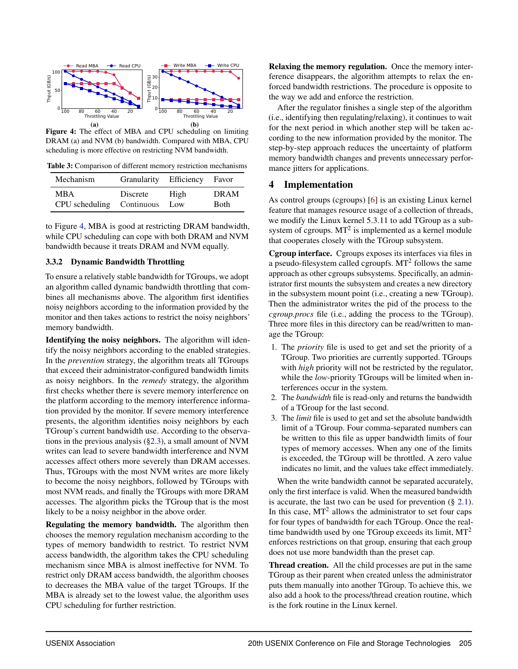<span id="page-7-1"></span>

Figure 4: The effect of MBA and CPU scheduling on limiting DRAM (a) and NVM (b) bandwidth. Compared with MBA, CPU scheduling is more effective on restricting NVM bandwidth.

<span id="page-7-2"></span>Table 3: Comparison of different memory restriction mechanisms

| Mechanism      | Granularity Efficiency Favor |      |              |
|----------------|------------------------------|------|--------------|
| MBA            | Discrete                     | High | <b>DRAM</b>  |
| CPU scheduling | Continuous                   | Low  | <b>B</b> oth |

to Figure [4,](#page-7-1) MBA is good at restricting DRAM bandwidth, while CPU scheduling can cope with both DRAM and NVM bandwidth because it treats DRAM and NVM equally.

### 3.3.2 Dynamic Bandwidth Throttling

To ensure a relatively stable bandwidth for TGroups, we adopt an algorithm called dynamic bandwidth throttling that combines all mechanisms above. The algorithm first identifies noisy neighbors according to the information provided by the monitor and then takes actions to restrict the noisy neighbors' memory bandwidth.

Identifying the noisy neighbors. The algorithm will identify the noisy neighbors according to the enabled strategies. In the *prevention* strategy, the algorithm treats all TGroups that exceed their administrator-configured bandwidth limits as noisy neighbors. In the *remedy* strategy, the algorithm first checks whether there is severe memory interference on the platform according to the memory interference information provided by the monitor. If severe memory interference presents, the algorithm identifies noisy neighbors by each TGroup's current bandwidth use. According to the observations in the previous analysis ([§2.3\)](#page-3-2), a small amount of NVM writes can lead to severe bandwidth interference and NVM accesses affect others more severely than DRAM accesses. Thus, TGroups with the most NVM writes are more likely to become the noisy neighbors, followed by TGroups with most NVM reads, and finally the TGroups with more DRAM accesses. The algorithm picks the TGroup that is the most likely to be a noisy neighbor in the above order.

Regulating the memory bandwidth. The algorithm then chooses the memory regulation mechanism according to the types of memory bandwidth to restrict. To restrict NVM access bandwidth, the algorithm takes the CPU scheduling mechanism since MBA is almost ineffective for NVM. To restrict only DRAM access bandwidth, the algorithm chooses to decreases the MBA value of the target TGroups. If the MBA is already set to the lowest value, the algorithm uses CPU scheduling for further restriction.

Relaxing the memory regulation. Once the memory interference disappears, the algorithm attempts to relax the enforced bandwidth restrictions. The procedure is opposite to the way we add and enforce the restriction.

After the regulator finishes a single step of the algorithm (i.e., identifying then regulating/relaxing), it continues to wait for the next period in which another step will be taken according to the new information provided by the monitor. The step-by-step approach reduces the uncertainty of platform memory bandwidth changes and prevents unnecessary performance jitters for applications.

### <span id="page-7-0"></span>4 Implementation

As control groups (cgroups) [\[6\]](#page-14-15) is an existing Linux kernel feature that manages resource usage of a collection of threads, we modify the Linux kernel 5.3.11 to add TGroup as a subsystem of cgroups.  $MT^2$  is implemented as a kernel module that cooperates closely with the TGroup subsystem.

Cgroup interface. Cgroups exposes its interfaces via files in a pseudo-filesystem called cgroupfs.  $MT<sup>2</sup>$  follows the same approach as other cgroups subsystems. Specifically, an administrator first mounts the subsystem and creates a new directory in the subsystem mount point (i.e., creating a new TGroup). Then the administrator writes the pid of the process to the *cgroup.procs* file (i.e., adding the process to the TGroup). Three more files in this directory can be read/written to manage the TGroup:

- 1. The *priority* file is used to get and set the priority of a TGroup. Two priorities are currently supported. TGroups with *high* priority will not be restricted by the regulator, while the *low*-priority TGroups will be limited when interferences occur in the system.
- 2. The *bandwidth* file is read-only and returns the bandwidth of a TGroup for the last second.
- 3. The *limit* file is used to get and set the absolute bandwidth limit of a TGroup. Four comma-separated numbers can be written to this file as upper bandwidth limits of four types of memory accesses. When any one of the limits is exceeded, the TGroup will be throttled. A zero value indicates no limit, and the values take effect immediately.

When the write bandwidth cannot be separated accurately, only the first interface is valid. When the measured bandwidth is accurate, the last two can be used for prevention  $(\S 2.1)$  $(\S 2.1)$ . In this case,  $MT<sup>2</sup>$  allows the administrator to set four caps for four types of bandwidth for each TGroup. Once the realtime bandwidth used by one TGroup exceeds its limit,  $MT<sup>2</sup>$ enforces restrictions on that group, ensuring that each group does not use more bandwidth than the preset cap.

Thread creation. All the child processes are put in the same TGroup as their parent when created unless the administrator puts them manually into another TGroup. To achieve this, we also add a hook to the process/thread creation routine, which is the fork routine in the Linux kernel.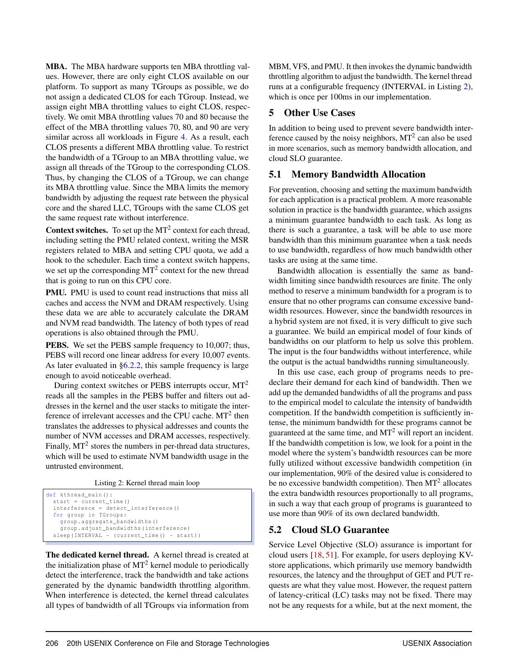MBA. The MBA hardware supports ten MBA throttling values. However, there are only eight CLOS available on our platform. To support as many TGroups as possible, we do not assign a dedicated CLOS for each TGroup. Instead, we assign eight MBA throttling values to eight CLOS, respectively. We omit MBA throttling values 70 and 80 because the effect of the MBA throttling values 70, 80, and 90 are very similar across all workloads in Figure [4.](#page-7-1) As a result, each CLOS presents a different MBA throttling value. To restrict the bandwidth of a TGroup to an MBA throttling value, we assign all threads of the TGroup to the corresponding CLOS. Thus, by changing the CLOS of a TGroup, we can change its MBA throttling value. Since the MBA limits the memory bandwidth by adjusting the request rate between the physical core and the shared LLC, TGroups with the same CLOS get the same request rate without interference.

**Context switches.** To set up the  $MT<sup>2</sup>$  context for each thread, including setting the PMU related context, writing the MSR registers related to MBA and setting CPU quota, we add a hook to the scheduler. Each time a context switch happens, we set up the corresponding  $MT^2$  context for the new thread that is going to run on this CPU core.

PMU. PMU is used to count read instructions that miss all caches and access the NVM and DRAM respectively. Using these data we are able to accurately calculate the DRAM and NVM read bandwidth. The latency of both types of read operations is also obtained through the PMU.

**PEBS.** We set the PEBS sample frequency to 10,007; thus, PEBS will record one linear address for every 10,007 events. As later evaluated in [§6.2.2,](#page-12-0) this sample frequency is large enough to avoid noticeable overhead.

During context switches or PEBS interrupts occur, MT<sup>2</sup> reads all the samples in the PEBS buffer and filters out addresses in the kernel and the user stacks to mitigate the interference of irrelevant accesses and the CPU cache.  $MT<sup>2</sup>$  then translates the addresses to physical addresses and counts the number of NVM accesses and DRAM accesses, respectively. Finally,  $MT<sup>2</sup>$  stores the numbers in per-thread data structures, which will be used to estimate NVM bandwidth usage in the untrusted environment.

Listing 2: Kernel thread main loop

```
def kthread_main () :
start = current_time ()
interference = detect_interference ()
for group in TGroups :
  group . aggregate_bandwidths ()
  group . adjust_bandwidths ( interference )
sleep ( INTERVAL - ( current_time ( ) - start ) )
```
The dedicated kernel thread. A kernel thread is created at the initialization phase of  $MT<sup>2</sup>$  kernel module to periodically detect the interference, track the bandwidth and take actions generated by the dynamic bandwidth throttling algorithm. When interference is detected, the kernel thread calculates all types of bandwidth of all TGroups via information from

MBM, VFS, and PMU. It then invokes the dynamic bandwidth throttling algorithm to adjust the bandwidth. The kernel thread runs at a configurable frequency (INTERVAL in Listing [2\)](#page-8-1), which is once per 100ms in our implementation.

# <span id="page-8-0"></span>5 Other Use Cases

In addition to being used to prevent severe bandwidth interference caused by the noisy neighbors,  $MT<sup>2</sup>$  can also be used in more scenarios, such as memory bandwidth allocation, and cloud SLO guarantee.

# 5.1 Memory Bandwidth Allocation

For prevention, choosing and setting the maximum bandwidth for each application is a practical problem. A more reasonable solution in practice is the bandwidth guarantee, which assigns a minimum guarantee bandwidth to each task. As long as there is such a guarantee, a task will be able to use more bandwidth than this minimum guarantee when a task needs to use bandwidth, regardless of how much bandwidth other tasks are using at the same time.

Bandwidth allocation is essentially the same as bandwidth limiting since bandwidth resources are finite. The only method to reserve a minimum bandwidth for a program is to ensure that no other programs can consume excessive bandwidth resources. However, since the bandwidth resources in a hybrid system are not fixed, it is very difficult to give such a guarantee. We build an empirical model of four kinds of bandwidths on our platform to help us solve this problem. The input is the four bandwidths without interference, while the output is the actual bandwidths running simultaneously.

In this use case, each group of programs needs to predeclare their demand for each kind of bandwidth. Then we add up the demanded bandwidths of all the programs and pass to the empirical model to calculate the intensity of bandwidth competition. If the bandwidth competition is sufficiently intense, the minimum bandwidth for these programs cannot be guaranteed at the same time, and  $MT<sup>2</sup>$  will report an incident. If the bandwidth competition is low, we look for a point in the model where the system's bandwidth resources can be more fully utilized without excessive bandwidth competition (in our implementation, 90% of the desired value is considered to be no excessive bandwidth competition). Then  $MT<sup>2</sup>$  allocates the extra bandwidth resources proportionally to all programs, in such a way that each group of programs is guaranteed to use more than 90% of its own declared bandwidth.

# <span id="page-8-2"></span>5.2 Cloud SLO Guarantee

Service Level Objective (SLO) assurance is important for cloud users [\[18,](#page-14-16) [51\]](#page-16-10). For example, for users deploying KVstore applications, which primarily use memory bandwidth resources, the latency and the throughput of GET and PUT requests are what they value most. However, the request pattern of latency-critical (LC) tasks may not be fixed. There may not be any requests for a while, but at the next moment, the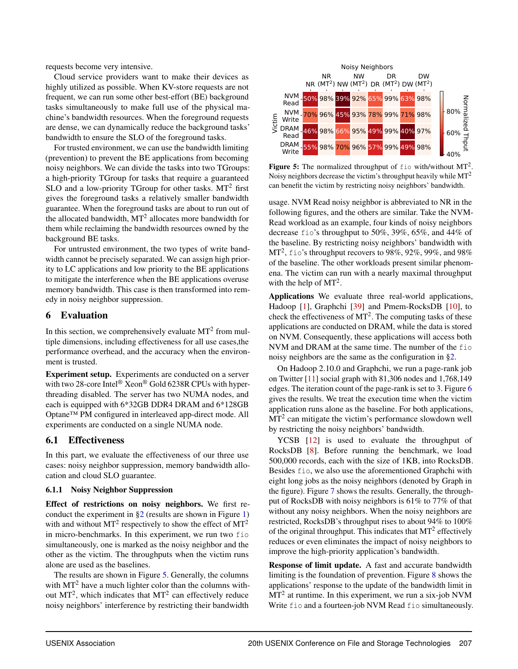requests become very intensive.

Cloud service providers want to make their devices as highly utilized as possible. When KV-store requests are not frequent, we can run some other best-effort (BE) background tasks simultaneously to make full use of the physical machine's bandwidth resources. When the foreground requests are dense, we can dynamically reduce the background tasks' bandwidth to ensure the SLO of the foreground tasks.

For trusted environment, we can use the bandwidth limiting (prevention) to prevent the BE applications from becoming noisy neighbors. We can divide the tasks into two TGroups: a high-priority TGroup for tasks that require a guaranteed SLO and a low-priority TGroup for other tasks.  $MT<sup>2</sup>$  first gives the foreground tasks a relatively smaller bandwidth guarantee. When the foreground tasks are about to run out of the allocated bandwidth,  $MT<sup>2</sup>$  allocates more bandwidth for them while reclaiming the bandwidth resources owned by the background BE tasks.

For untrusted environment, the two types of write bandwidth cannot be precisely separated. We can assign high priority to LC applications and low priority to the BE applications to mitigate the interference when the BE applications overuse memory bandwidth. This case is then transformed into remedy in noisy neighbor suppression.

### <span id="page-9-0"></span>6 Evaluation

In this section, we comprehensively evaluate  $MT<sup>2</sup>$  from multiple dimensions, including effectiveness for all use cases,the performance overhead, and the accuracy when the environment is trusted.

Experiment setup. Experiments are conducted on a server with two 28-core Intel<sup>®</sup> Xeon<sup>®</sup> Gold 6238R CPUs with hyperthreading disabled. The server has two NUMA nodes, and each is equipped with 6\*32GB DDR4 DRAM and 6\*128GB Optane™ PM configured in interleaved app-direct mode. All experiments are conducted on a single NUMA node.

### 6.1 Effectiveness

In this part, we evaluate the effectiveness of our three use cases: noisy neighbor suppression, memory bandwidth allocation and cloud SLO guarantee.

### 6.1.1 Noisy Neighbor Suppression

Effect of restrictions on noisy neighbors. We first reconduct the experiment in [§2](#page-2-0) (results are shown in Figure [1\)](#page-3-0) with and without  $MT^2$  respectively to show the effect of  $MT^2$ in micro-benchmarks. In this experiment, we run two fio simultaneously, one is marked as the noisy neighbor and the other as the victim. The throughputs when the victim runs alone are used as the baselines.

The results are shown in Figure [5.](#page-9-1) Generally, the columns with  $MT<sup>2</sup>$  have a much lighter color than the columns without  $MT^2$ , which indicates that  $MT^2$  can effectively reduce noisy neighbors' interference by restricting their bandwidth

<span id="page-9-1"></span>

Figure 5: The normalized throughput of  $f$ io with/without MT<sup>2</sup>. Noisy neighbors decrease the victim's throughput heavily while  $MT<sup>2</sup>$ can benefit the victim by restricting noisy neighbors' bandwidth.

usage. NVM Read noisy neighbor is abbreviated to NR in the following figures, and the others are similar. Take the NVM-Read workload as an example, four kinds of noisy neighbors decrease fio's throughput to 50%, 39%, 65%, and 44% of the baseline. By restricting noisy neighbors' bandwidth with MT<sup>2</sup>, fio's throughput recovers to 98%, 92%, 99%, and 98% of the baseline. The other workloads present similar phenomena. The victim can run with a nearly maximal throughput with the help of  $MT<sup>2</sup>$ .

Applications We evaluate three real-world applications, Hadoop [\[1\]](#page-14-17), Graphchi [\[39\]](#page-15-14) and Pmem-RocksDB [\[10\]](#page-14-7), to check the effectiveness of  $MT<sup>2</sup>$ . The computing tasks of these applications are conducted on DRAM, while the data is stored on NVM. Consequently, these applications will access both NVM and DRAM at the same time. The number of the fio noisy neighbors are the same as the configuration in [§2.](#page-2-0)

On Hadoop 2.10.0 and Graphchi, we run a page-rank job on Twitter [\[11\]](#page-14-18) social graph with 81,306 nodes and 1,768,149 edges. The iteration count of the page-rank is set to 3. Figure [6](#page-10-0) gives the results. We treat the execution time when the victim application runs alone as the baseline. For both applications,  $MT<sup>2</sup>$  can mitigate the victim's performance slowdown well by restricting the noisy neighbors' bandwidth.

YCSB [\[12\]](#page-14-19) is used to evaluate the throughput of RocksDB [\[8\]](#page-14-20). Before running the benchmark, we load 500,000 records, each with the size of 1KB, into RocksDB. Besides fio, we also use the aforementioned Graphchi with eight long jobs as the noisy neighbors (denoted by Graph in the figure). Figure [7](#page-10-1) shows the results. Generally, the throughput of RocksDB with noisy neighbors is 61% to 77% of that without any noisy neighbors. When the noisy neighbors are restricted, RocksDB's throughput rises to about 94% to 100% of the original throughput. This indicates that  $MT<sup>2</sup>$  effectively reduces or even eliminates the impact of noisy neighbors to improve the high-priority application's bandwidth.

Response of limit update. A fast and accurate bandwidth limiting is the foundation of prevention. Figure [8](#page-10-2) shows the applications' response to the update of the bandwidth limit in  $MT<sup>2</sup>$  at runtime. In this experiment, we run a six-job NVM Write fio and a fourteen-job NVM Read fio simultaneously.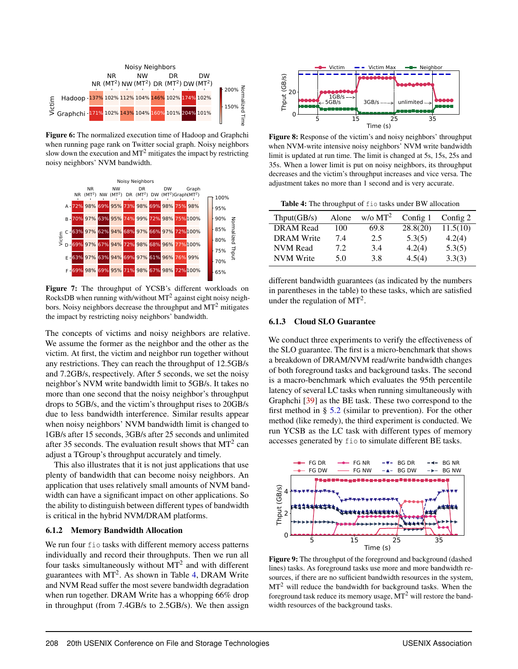<span id="page-10-0"></span>

Figure 6: The normalized execution time of Hadoop and Graphchi when running page rank on Twitter social graph. Noisy neighbors slow down the execution and  $MT<sup>2</sup>$  mitigates the impact by restricting noisy neighbors' NVM bandwidth.

<span id="page-10-1"></span>

Figure 7: The throughput of YCSB's different workloads on RocksDB when running with/without  $MT^2$  against eight noisy neighbors. Noisy neighbors decrease the throughput and  $MT<sup>2</sup>$  mitigates the impact by restricting noisy neighbors' bandwidth.

The concepts of victims and noisy neighbors are relative. We assume the former as the neighbor and the other as the victim. At first, the victim and neighbor run together without any restrictions. They can reach the throughput of 12.5GB/s and 7.2GB/s, respectively. After 5 seconds, we set the noisy neighbor's NVM write bandwidth limit to 5GB/s. It takes no more than one second that the noisy neighbor's throughput drops to 5GB/s, and the victim's throughput rises to 20GB/s due to less bandwidth interference. Similar results appear when noisy neighbors' NVM bandwidth limit is changed to 1GB/s after 15 seconds, 3GB/s after 25 seconds and unlimited after 35 seconds. The evaluation result shows that  $MT<sup>2</sup>$  can adjust a TGroup's throughput accurately and timely.

This also illustrates that it is not just applications that use plenty of bandwidth that can become noisy neighbors. An application that uses relatively small amounts of NVM bandwidth can have a significant impact on other applications. So the ability to distinguish between different types of bandwidth is critical in the hybrid NVM/DRAM platforms.

#### 6.1.2 Memory Bandwidth Allocation

We run four fio tasks with different memory access patterns individually and record their throughputs. Then we run all four tasks simultaneously without  $MT<sup>2</sup>$  and with different guarantees with MT<sup>2</sup>. As shown in Table [4,](#page-10-3) DRAM Write and NVM Read suffer the most severe bandwidth degradation when run together. DRAM Write has a whopping 66% drop in throughput (from 7.4GB/s to 2.5GB/s). We then assign

<span id="page-10-2"></span>

Figure 8: Response of the victim's and noisy neighbors' throughput when NVM-write intensive noisy neighbors' NVM write bandwidth limit is updated at run time. The limit is changed at 5s, 15s, 25s and 35s. When a lower limit is put on noisy neighbors, its throughput decreases and the victim's throughput increases and vice versa. The adjustment takes no more than 1 second and is very accurate.

<span id="page-10-3"></span>Table 4: The throughput of fio tasks under BW allocation

| Thput(GB/s)       | Alone | $w$ /o MT <sup>2</sup> | Config 1 | Config 2 |
|-------------------|-------|------------------------|----------|----------|
| <b>DRAM</b> Read  | 100   | 69.8                   | 28.8(20) | 11.5(10) |
| <b>DRAM</b> Write | 7.4   | 2.5                    | 5.3(5)   | 4.2(4)   |
| <b>NVM</b> Read   | 7.2.  | 3.4                    | 4.2(4)   | 5.3(5)   |
| <b>NVM</b> Write  | 5.0   | 3.8                    | 4.5(4)   | 3.3(3)   |

different bandwidth guarantees (as indicated by the numbers in parentheses in the table) to these tasks, which are satisfied under the regulation of  $MT<sup>2</sup>$ .

### 6.1.3 Cloud SLO Guarantee

We conduct three experiments to verify the effectiveness of the SLO guarantee. The first is a micro-benchmark that shows a breakdown of DRAM/NVM read/write bandwidth changes of both foreground tasks and background tasks. The second is a macro-benchmark which evaluates the 95th percentile latency of several LC tasks when running simultaneously with Graphchi [\[39\]](#page-15-14) as the BE task. These two correspond to the first method in  $\S$  [5.2](#page-8-2) (similar to prevention). For the other method (like remedy), the third experiment is conducted. We run YCSB as the LC task with different types of memory accesses generated by fio to simulate different BE tasks.

<span id="page-10-4"></span>

Figure 9: The throughput of the foreground and background (dashed lines) tasks. As foreground tasks use more and more bandwidth resources, if there are no sufficient bandwidth resources in the system,  $MT<sup>2</sup>$  will reduce the bandwidth for background tasks. When the foreground task reduce its memory usage,  $MT<sup>2</sup>$  will restore the bandwidth resources of the background tasks.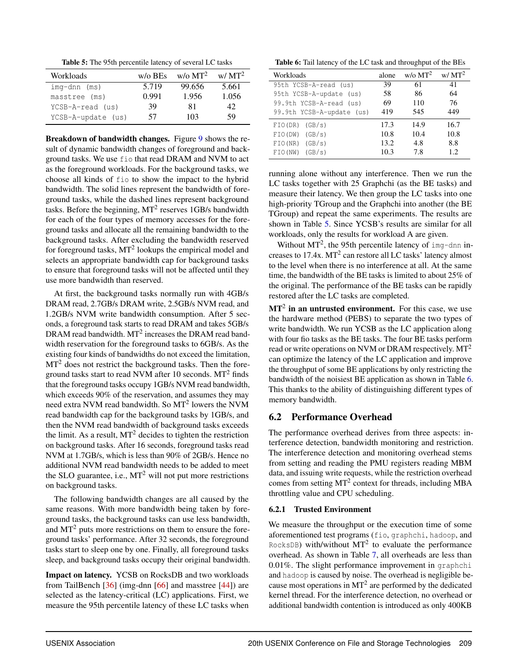Table 5: The 95th percentile latency of several LC tasks

<span id="page-11-0"></span>

| Workloads          | $w/o$ BEs | $w$ /o MT <sup>2</sup> | $W/MT^2$ |
|--------------------|-----------|------------------------|----------|
| $img-dnn$ (ms)     | 5.719     | 99.656                 | 5.661    |
| masstree (ms)      | 0.991     | 1.956                  | 1.056    |
| YCSB-A-read (us)   | 39        | 81                     | 42.      |
| YCSB-A-update (us) | 57        | 103                    | 59       |

Breakdown of bandwidth changes. Figure [9](#page-10-4) shows the result of dynamic bandwidth changes of foreground and background tasks. We use fio that read DRAM and NVM to act as the foreground workloads. For the background tasks, we choose all kinds of fio to show the impact to the hybrid bandwidth. The solid lines represent the bandwidth of foreground tasks, while the dashed lines represent background tasks. Before the beginning,  $MT^2$  reserves 1GB/s bandwidth for each of the four types of memory accesses for the foreground tasks and allocate all the remaining bandwidth to the background tasks. After excluding the bandwidth reserved for foreground tasks,  $MT^2$  lookups the empirical model and selects an appropriate bandwidth cap for background tasks to ensure that foreground tasks will not be affected until they use more bandwidth than reserved.

At first, the background tasks normally run with 4GB/s DRAM read, 2.7GB/s DRAM write, 2.5GB/s NVM read, and 1.2GB/s NVM write bandwidth consumption. After 5 seconds, a foreground task starts to read DRAM and takes 5GB/s DRAM read bandwidth.  $MT^2$  increases the DRAM read bandwidth reservation for the foreground tasks to 6GB/s. As the existing four kinds of bandwidths do not exceed the limitation, MT<sup>2</sup> does not restrict the background tasks. Then the foreground tasks start to read NVM after 10 seconds.  $MT<sup>2</sup>$  finds that the foreground tasks occupy 1GB/s NVM read bandwidth, which exceeds 90% of the reservation, and assumes they may need extra NVM read bandwidth. So  $MT<sup>2</sup>$  lowers the NVM read bandwidth cap for the background tasks by 1GB/s, and then the NVM read bandwidth of background tasks exceeds the limit. As a result,  $MT<sup>2</sup>$  decides to tighten the restriction on background tasks. After 16 seconds, foreground tasks read NVM at 1.7GB/s, which is less than 90% of 2GB/s. Hence no additional NVM read bandwidth needs to be added to meet the SLO guarantee, i.e.,  $MT<sup>2</sup>$  will not put more restrictions on background tasks.

The following bandwidth changes are all caused by the same reasons. With more bandwidth being taken by foreground tasks, the background tasks can use less bandwidth, and  $MT<sup>2</sup>$  puts more restrictions on them to ensure the foreground tasks' performance. After 32 seconds, the foreground tasks start to sleep one by one. Finally, all foreground tasks sleep, and background tasks occupy their original bandwidth.

Impact on latency. YCSB on RocksDB and two workloads from TailBench [\[36\]](#page-15-15) (img-dnn [\[66\]](#page-17-6) and masstree [\[44\]](#page-15-16)) are selected as the latency-critical (LC) applications. First, we measure the 95th percentile latency of these LC tasks when

<span id="page-11-1"></span>Table 6: Tail latency of the LC task and throughput of the BEs

| Workloads                 | alone | $w$ /o MT <sup>2</sup> | $w/MT^2$ |
|---------------------------|-------|------------------------|----------|
| 95th YCSB-A-read (us)     | 39    | 61                     | 41       |
| 95th YCSB-A-update (us)   | 58    | 86                     | 64       |
| 99.9th YCSB-A-read (us)   | 69    | 110                    | 76       |
| 99.9th YCSB-A-update (us) | 419   | 545                    | 449      |
| FIO(DR)<br>(GB/s)         | 17.3  | 14.9                   | 16.7     |
| FIO(DW)<br>(GB/s)         | 10.8  | 10.4                   | 10.8     |
| FIO(NR)<br>(GB/s)         | 13.2  | 4.8                    | 8.8      |
| (GB/s)<br>FIO(NW)         | 10.3  | 7.8                    | 1.2.     |

running alone without any interference. Then we run the LC tasks together with 25 Graphchi (as the BE tasks) and measure their latency. We then group the LC tasks into one high-priority TGroup and the Graphchi into another (the BE TGroup) and repeat the same experiments. The results are shown in Table [5.](#page-11-0) Since YCSB's results are similar for all workloads, only the results for workload A are given.

Without  $MT^2$ , the 95th percentile latency of img-dnn increases to  $17.4x$ . MT<sup>2</sup> can restore all LC tasks' latency almost to the level when there is no interference at all. At the same time, the bandwidth of the BE tasks is limited to about 25% of the original. The performance of the BE tasks can be rapidly restored after the LC tasks are completed.

 $MT<sup>2</sup>$  in an untrusted environment. For this case, we use the hardware method (PEBS) to separate the two types of write bandwidth. We run YCSB as the LC application along with four fio tasks as the BE tasks. The four BE tasks perform read or write operations on NVM or DRAM respectively.  $MT<sup>2</sup>$ can optimize the latency of the LC application and improve the throughput of some BE applications by only restricting the bandwidth of the noisiest BE application as shown in Table [6.](#page-11-1) This thanks to the ability of distinguishing different types of memory bandwidth.

# 6.2 Performance Overhead

The performance overhead derives from three aspects: interference detection, bandwidth monitoring and restriction. The interference detection and monitoring overhead stems from setting and reading the PMU registers reading MBM data, and issuing write requests, while the restriction overhead comes from setting  $MT^2$  context for threads, including MBA throttling value and CPU scheduling.

### 6.2.1 Trusted Environment

We measure the throughput or the execution time of some aforementioned test programs (fio, graphchi, hadoop, and RocksDB) with/without  $MT^2$  to evaluate the performance overhead. As shown in Table [7,](#page-12-1) all overheads are less than 0.01%. The slight performance improvement in graphchi and hadoop is caused by noise. The overhead is negligible because most operations in  $MT<sup>2</sup>$  are performed by the dedicated kernel thread. For the interference detection, no overhead or additional bandwidth contention is introduced as only 400KB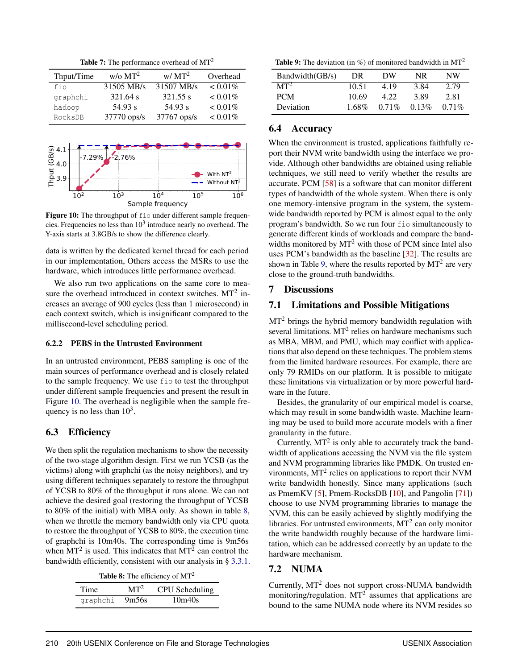**Table 7:** The performance overhead of  $MT<sup>2</sup>$ 

<span id="page-12-1"></span>

| Thput/Time | $w$ /o MT <sup>2</sup> | $W/MT^2$    | Overhead   |
|------------|------------------------|-------------|------------|
| fio        | 31505 MB/s             | 31507 MB/s  | $< 0.01\%$ |
| graphchi   | 321.64 s               | 321.55 s    | $< 0.01\%$ |
| hadoop     | 54.93 s                | 54.93 s     | $< 0.01\%$ |
| RocksDB    | $37770$ ops/s          | 37767 ops/s | $< 0.01\%$ |

<span id="page-12-2"></span>

Figure 10: The throughput of fio under different sample frequencies. Frequencies no less than  $10^3$  introduce nearly no overhead. The Y-axis starts at 3.8GB/s to show the difference clearly.

data is written by the dedicated kernel thread for each period in our implementation, Others access the MSRs to use the hardware, which introduces little performance overhead.

We also run two applications on the same core to measure the overhead introduced in context switches.  $MT<sup>2</sup>$  increases an average of 900 cycles (less than 1 microsecond) in each context switch, which is insignificant compared to the millisecond-level scheduling period.

### <span id="page-12-0"></span>6.2.2 PEBS in the Untrusted Environment

In an untrusted environment, PEBS sampling is one of the main sources of performance overhead and is closely related to the sample frequency. We use fio to test the throughput under different sample frequencies and present the result in Figure [10.](#page-12-2) The overhead is negligible when the sample frequency is no less than  $10^3$ .

# 6.3 Efficiency

We then split the regulation mechanisms to show the necessity of the two-stage algorithm design. First we run YCSB (as the victims) along with graphchi (as the noisy neighbors), and try using different techniques separately to restore the throughput of YCSB to 80% of the throughput it runs alone. We can not achieve the desired goal (restoring the throughput of YCSB to 80% of the initial) with MBA only. As shown in table [8,](#page-12-3) when we throttle the memory bandwidth only via CPU quota to restore the throughput of YCSB to 80%, the execution time of graphchi is 10m40s. The corresponding time is 9m56s when  $MT^2$  is used. This indicates that  $MT^2$  can control the bandwidth efficiently, consistent with our analysis in § [3.3.1.](#page-6-0)

<span id="page-12-3"></span>

| Time.    | $MT^2$ | CPU Scheduling |
|----------|--------|----------------|
| graphchi | 9m56s  | 10m40s         |

<span id="page-12-4"></span>**Table 9:** The deviation (in %) of monitored bandwidth in  $MT<sup>2</sup>$ 

| Bandwidth(GB/s) | DR       | DW       | NR.   | NW       |
|-----------------|----------|----------|-------|----------|
| MT <sup>2</sup> | 10.51    | 419      | 3.84  | 2.79     |
| <b>PCM</b>      | 10.69    | 4.22     | 3.89  | 2.81     |
| Deviation       | $1.68\%$ | $0.71\%$ | 0.13% | $0.71\%$ |

### 6.4 Accuracy

When the environment is trusted, applications faithfully report their NVM write bandwidth using the interface we provide. Although other bandwidths are obtained using reliable techniques, we still need to verify whether the results are accurate. PCM [\[58\]](#page-16-11) is a software that can monitor different types of bandwidth of the whole system. When there is only one memory-intensive program in the system, the systemwide bandwidth reported by PCM is almost equal to the only program's bandwidth. So we run four fio simultaneously to generate different kinds of workloads and compare the bandwidths monitored by  $MT^2$  with those of PCM since Intel also uses PCM's bandwidth as the baseline [\[32\]](#page-15-17). The results are shown in Table [9,](#page-12-4) where the results reported by  $MT<sup>2</sup>$  are very close to the ground-truth bandwidths.

### 7 Discussions

### 7.1 Limitations and Possible Mitigations

 $MT<sup>2</sup>$  brings the hybrid memory bandwidth regulation with several limitations.  $MT^2$  relies on hardware mechanisms such as MBA, MBM, and PMU, which may conflict with applications that also depend on these techniques. The problem stems from the limited hardware resources. For example, there are only 79 RMIDs on our platform. It is possible to mitigate these limitations via virtualization or by more powerful hardware in the future.

Besides, the granularity of our empirical model is coarse, which may result in some bandwidth waste. Machine learning may be used to build more accurate models with a finer granularity in the future.

Currently,  $MT^2$  is only able to accurately track the bandwidth of applications accessing the NVM via the file system and NVM programming libraries like PMDK. On trusted environments,  $MT<sup>2</sup>$  relies on applications to report their NVM write bandwidth honestly. Since many applications (such as PmemKV [\[5\]](#page-14-6), Pmem-RocksDB [\[10\]](#page-14-7), and Pangolin [\[71\]](#page-17-7)) choose to use NVM programming libraries to manage the NVM, this can be easily achieved by slightly modifying the libraries. For untrusted environments,  $MT<sup>2</sup>$  can only monitor the write bandwidth roughly because of the hardware limitation, which can be addressed correctly by an update to the hardware mechanism.

# 7.2 NUMA

Currently, MT<sup>2</sup> does not support cross-NUMA bandwidth monitoring/regulation.  $MT^2$  assumes that applications are bound to the same NUMA node where its NVM resides so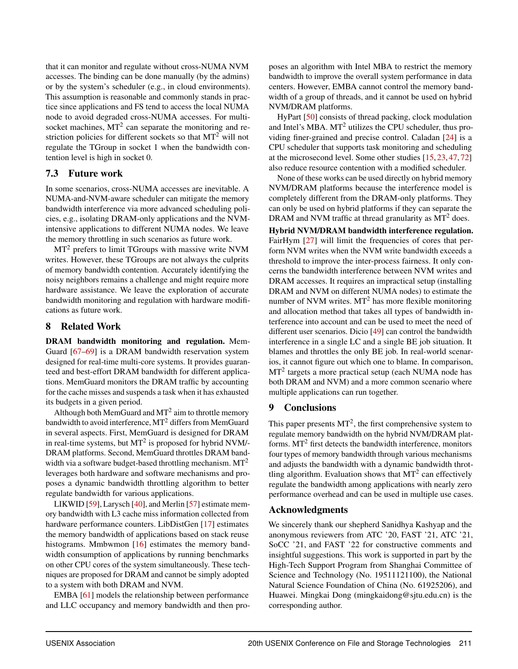that it can monitor and regulate without cross-NUMA NVM accesses. The binding can be done manually (by the admins) or by the system's scheduler (e.g., in cloud environments). This assumption is reasonable and commonly stands in practice since applications and FS tend to access the local NUMA node to avoid degraded cross-NUMA accesses. For multisocket machines,  $MT^2$  can separate the monitoring and restriction policies for different sockets so that  $MT<sup>2</sup>$  will not regulate the TGroup in socket 1 when the bandwidth contention level is high in socket 0.

# 7.3 Future work

In some scenarios, cross-NUMA accesses are inevitable. A NUMA-and-NVM-aware scheduler can mitigate the memory bandwidth interference via more advanced scheduling policies, e.g., isolating DRAM-only applications and the NVMintensive applications to different NUMA nodes. We leave the memory throttling in such scenarios as future work.

 $MT<sup>2</sup>$  prefers to limit TGroups with massive write NVM writes. However, these TGroups are not always the culprits of memory bandwidth contention. Accurately identifying the noisy neighbors remains a challenge and might require more hardware assistance. We leave the exploration of accurate bandwidth monitoring and regulation with hardware modifications as future work.

# 8 Related Work

DRAM bandwidth monitoring and regulation. Mem-Guard [\[67](#page-17-3)[–69\]](#page-17-4) is a DRAM bandwidth reservation system designed for real-time multi-core systems. It provides guaranteed and best-effort DRAM bandwidth for different applications. MemGuard monitors the DRAM traffic by accounting for the cache misses and suspends a task when it has exhausted its budgets in a given period.

Although both MemGuard and  $MT<sup>2</sup>$  aim to throttle memory bandwidth to avoid interference, MT<sup>2</sup> differs from MemGuard in several aspects. First, MemGuard is designed for DRAM in real-time systems, but  $MT^2$  is proposed for hybrid NVM/-DRAM platforms. Second, MemGuard throttles DRAM bandwidth via a software budget-based throttling mechanism.  $MT<sup>2</sup>$ leverages both hardware and software mechanisms and proposes a dynamic bandwidth throttling algorithm to better regulate bandwidth for various applications.

LIKWID [\[59\]](#page-16-12), Larysch [\[40\]](#page-15-18), and Merlin [\[57\]](#page-16-13) estimate memory bandwidth with L3 cache miss information collected from hardware performance counters. LibDistGen [\[17\]](#page-14-21) estimates the memory bandwidth of applications based on stack reuse histograms. Mmbwmon [\[16\]](#page-14-22) estimates the memory bandwidth consumption of applications by running benchmarks on other CPU cores of the system simultaneously. These techniques are proposed for DRAM and cannot be simply adopted to a system with both DRAM and NVM.

EMBA [\[61\]](#page-16-14) models the relationship between performance and LLC occupancy and memory bandwidth and then proposes an algorithm with Intel MBA to restrict the memory bandwidth to improve the overall system performance in data centers. However, EMBA cannot control the memory bandwidth of a group of threads, and it cannot be used on hybrid NVM/DRAM platforms.

HyPart [\[50\]](#page-16-15) consists of thread packing, clock modulation and Intel's MBA. MT<sup>2</sup> utilizes the CPU scheduler, thus providing finer-grained and precise control. Caladan [\[24\]](#page-14-23) is a CPU scheduler that supports task monitoring and scheduling at the microsecond level. Some other studies [\[15,](#page-14-24) [23,](#page-14-25) [47,](#page-16-16) [72\]](#page-17-8) also reduce resource contention with a modified scheduler.

None of these works can be used directly on hybrid memory NVM/DRAM platforms because the interference model is completely different from the DRAM-only platforms. They can only be used on hybrid platforms if they can separate the DRAM and NVM traffic at thread granularity as  $MT<sup>2</sup>$  does.

Hybrid NVM/DRAM bandwidth interference regulation. FairHym [\[27\]](#page-15-19) will limit the frequencies of cores that perform NVM writes when the NVM write bandwidth exceeds a threshold to improve the inter-process fairness. It only concerns the bandwidth interference between NVM writes and DRAM accesses. It requires an impractical setup (installing DRAM and NVM on different NUMA nodes) to estimate the number of NVM writes.  $MT<sup>2</sup>$  has more flexible monitoring and allocation method that takes all types of bandwidth interference into account and can be used to meet the need of different user scenarios. Dicio [\[49\]](#page-16-8) can control the bandwidth interference in a single LC and a single BE job situation. It blames and throttles the only BE job. In real-world scenarios, it cannot figure out which one to blame. In comparison,  $MT<sup>2</sup>$  targets a more practical setup (each NUMA node has both DRAM and NVM) and a more common scenario where multiple applications can run together.

# 9 Conclusions

This paper presents  $MT^2$ , the first comprehensive system to regulate memory bandwidth on the hybrid NVM/DRAM platforms. MT<sup>2</sup> first detects the bandwidth interference, monitors four types of memory bandwidth through various mechanisms and adjusts the bandwidth with a dynamic bandwidth throttling algorithm. Evaluation shows that  $MT<sup>2</sup>$  can effectively regulate the bandwidth among applications with nearly zero performance overhead and can be used in multiple use cases.

# Acknowledgments

We sincerely thank our shepherd Sanidhya Kashyap and the anonymous reviewers from ATC '20, FAST '21, ATC '21, SoCC '21, and FAST '22 for constructive comments and insightful suggestions. This work is supported in part by the High-Tech Support Program from Shanghai Committee of Science and Technology (No. 19511121100), the National Natural Science Foundation of China (No. 61925206), and Huawei. Mingkai Dong (mingkaidong@sjtu.edu.cn) is the corresponding author.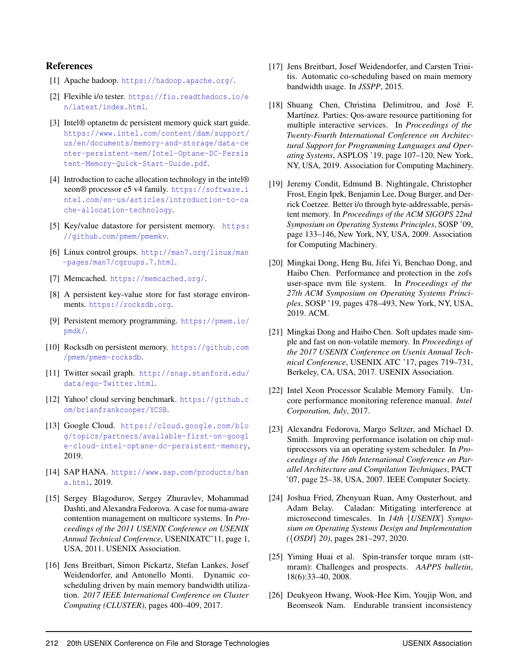### References

- <span id="page-14-17"></span>[1] Apache hadoop. <https://hadoop.apache.org/>.
- <span id="page-14-12"></span>[2] Flexible i/o tester. [https://fio.readthedocs.io/e](https://fio.readthedocs.io/en/latest/index.html) [n/latest/index.html](https://fio.readthedocs.io/en/latest/index.html).
- <span id="page-14-8"></span>[3] Intel® optanetm dc persistent memory quick start guide. [https://www.intel.com/content/dam/support/](https://www.intel.com/content/dam/support/us/en/documents/memory-and-storage/data-center-persistent-mem/Intel-Optane-DC-Persistent-Memory-Quick-Start-Guide.pdf) [us/en/documents/memory-and-storage/data-ce](https://www.intel.com/content/dam/support/us/en/documents/memory-and-storage/data-center-persistent-mem/Intel-Optane-DC-Persistent-Memory-Quick-Start-Guide.pdf) [nter-persistent-mem/Intel-Optane-DC-Persis](https://www.intel.com/content/dam/support/us/en/documents/memory-and-storage/data-center-persistent-mem/Intel-Optane-DC-Persistent-Memory-Quick-Start-Guide.pdf) [tent-Memory-Quick-Start-Guide.pdf](https://www.intel.com/content/dam/support/us/en/documents/memory-and-storage/data-center-persistent-mem/Intel-Optane-DC-Persistent-Memory-Quick-Start-Guide.pdf).
- <span id="page-14-13"></span>[4] Introduction to cache allocation technology in the intel® xeon® processor e5 v4 family. [https://software.i](https://software.intel.com/en-us/articles/introduction-to-cache-allocation-technology) [ntel.com/en-us/articles/introduction-to-ca](https://software.intel.com/en-us/articles/introduction-to-cache-allocation-technology) [che-allocation-technology](https://software.intel.com/en-us/articles/introduction-to-cache-allocation-technology).
- <span id="page-14-6"></span>[5] Key/value datastore for persistent memory. [https:](https://github.com/pmem/pmemkv) [//github.com/pmem/pmemkv](https://github.com/pmem/pmemkv).
- <span id="page-14-15"></span>[6] Linux control groups. [http://man7.org/linux/man](http://man7.org/linux/man-pages/man7/cgroups.7.html) [-pages/man7/cgroups.7.html](http://man7.org/linux/man-pages/man7/cgroups.7.html).
- <span id="page-14-10"></span>[7] Memcached. <https://memcached.org/>.
- <span id="page-14-20"></span>[8] A persistent key-value store for fast storage environments. <https://rocksdb.org>.
- <span id="page-14-4"></span>[9] Persistent memory programming. [https://pmem.io/](https://pmem.io/pmdk/) [pmdk/](https://pmem.io/pmdk/).
- <span id="page-14-7"></span>[10] Rocksdb on persistent memory. [https://github.com](https://github.com/pmem/pmem-rocksdb) [/pmem/pmem-rocksdb](https://github.com/pmem/pmem-rocksdb).
- <span id="page-14-18"></span>[11] Twitter socail graph. [http://snap.stanford.edu/](http://snap.stanford.edu/data/ego-Twitter.html) [data/ego-Twitter.html](http://snap.stanford.edu/data/ego-Twitter.html).
- <span id="page-14-19"></span>[12] Yahoo! cloud serving benchmark. [https://github.c](https://github.com/brianfrankcooper/YCSB) [om/brianfrankcooper/YCSB](https://github.com/brianfrankcooper/YCSB).
- <span id="page-14-1"></span>[13] Google Cloud. [https://cloud.google.com/blo](https://cloud.google.com/blog/topics/partners/available-first-on-google-cloud-intel-optane-dc-persistent-memory) [g/topics/partners/available-first-on-googl](https://cloud.google.com/blog/topics/partners/available-first-on-google-cloud-intel-optane-dc-persistent-memory) [e-cloud-intel-optane-dc-persistent-memory](https://cloud.google.com/blog/topics/partners/available-first-on-google-cloud-intel-optane-dc-persistent-memory), 2019.
- <span id="page-14-11"></span>[14] SAP HANA. [https://www.sap.com/products/han](https://www.sap.com/products/hana.html) [a.html](https://www.sap.com/products/hana.html), 2019.
- <span id="page-14-24"></span>[15] Sergey Blagodurov, Sergey Zhuravlev, Mohammad Dashti, and Alexandra Fedorova. A case for numa-aware contention management on multicore systems. In *Proceedings of the 2011 USENIX Conference on USENIX Annual Technical Conference*, USENIXATC'11, page 1, USA, 2011. USENIX Association.
- <span id="page-14-22"></span>[16] Jens Breitbart, Simon Pickartz, Stefan Lankes, Josef Weidendorfer, and Antonello Monti. Dynamic coscheduling driven by main memory bandwidth utilization. *2017 IEEE International Conference on Cluster Computing (CLUSTER)*, pages 400–409, 2017.
- <span id="page-14-21"></span>[17] Jens Breitbart, Josef Weidendorfer, and Carsten Trinitis. Automatic co-scheduling based on main memory bandwidth usage. In *JSSPP*, 2015.
- <span id="page-14-16"></span>[18] Shuang Chen, Christina Delimitrou, and José F. Martínez. Parties: Qos-aware resource partitioning for multiple interactive services. In *Proceedings of the Twenty-Fourth International Conference on Architectural Support for Programming Languages and Operating Systems*, ASPLOS '19, page 107–120, New York, NY, USA, 2019. Association for Computing Machinery.
- <span id="page-14-2"></span>[19] Jeremy Condit, Edmund B. Nightingale, Christopher Frost, Engin Ipek, Benjamin Lee, Doug Burger, and Derrick Coetzee. Better i/o through byte-addressable, persistent memory. In *Proceedings of the ACM SIGOPS 22nd Symposium on Operating Systems Principles*, SOSP '09, page 133–146, New York, NY, USA, 2009. Association for Computing Machinery.
- <span id="page-14-9"></span>[20] Mingkai Dong, Heng Bu, Jifei Yi, Benchao Dong, and Haibo Chen. Performance and protection in the zofs user-space nvm file system. In *Proceedings of the 27th ACM Symposium on Operating Systems Principles*, SOSP '19, pages 478–493, New York, NY, USA, 2019. ACM.
- <span id="page-14-3"></span>[21] Mingkai Dong and Haibo Chen. Soft updates made simple and fast on non-volatile memory. In *Proceedings of the 2017 USENIX Conference on Usenix Annual Technical Conference*, USENIX ATC '17, pages 719–731, Berkeley, CA, USA, 2017. USENIX Association.
- <span id="page-14-14"></span>[22] Intel Xeon Processor Scalable Memory Family. Uncore performance monitoring reference manual. *Intel Corporation, July*, 2017.
- <span id="page-14-25"></span>[23] Alexandra Fedorova, Margo Seltzer, and Michael D. Smith. Improving performance isolation on chip multiprocessors via an operating system scheduler. In *Proceedings of the 16th International Conference on Parallel Architecture and Compilation Techniques*, PACT '07, page 25–38, USA, 2007. IEEE Computer Society.
- <span id="page-14-23"></span>[24] Joshua Fried, Zhenyuan Ruan, Amy Ousterhout, and Adam Belay. Caladan: Mitigating interference at microsecond timescales. In *14th* {*USENIX*} *Symposium on Operating Systems Design and Implementation (*{*OSDI*} *20)*, pages 281–297, 2020.
- <span id="page-14-0"></span>[25] Yiming Huai et al. Spin-transfer torque mram (sttmram): Challenges and prospects. *AAPPS bulletin*, 18(6):33–40, 2008.
- <span id="page-14-5"></span>[26] Deukyeon Hwang, Wook-Hee Kim, Youjip Won, and Beomseok Nam. Endurable transient inconsistency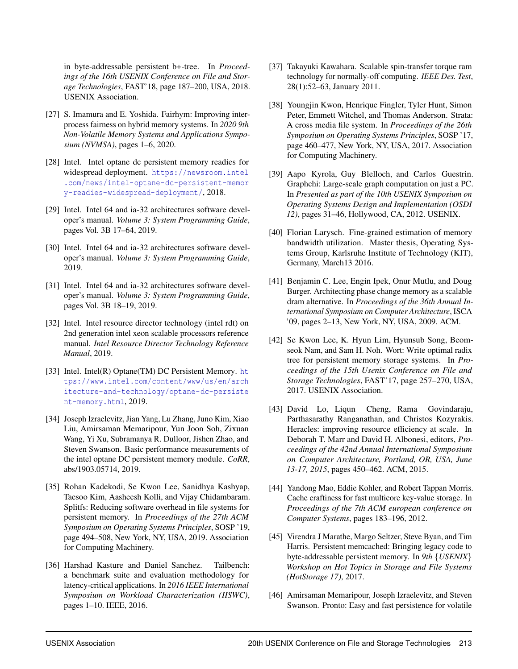in byte-addressable persistent b+-tree. In *Proceedings of the 16th USENIX Conference on File and Storage Technologies*, FAST'18, page 187–200, USA, 2018. USENIX Association.

- <span id="page-15-19"></span>[27] S. Imamura and E. Yoshida. Fairhym: Improving interprocess fairness on hybrid memory systems. In *2020 9th Non-Volatile Memory Systems and Applications Symposium (NVMSA)*, pages 1–6, 2020.
- <span id="page-15-2"></span>[28] Intel. Intel optane dc persistent memory readies for widespread deployment. [https://newsroom.intel](https://newsroom.intel.com/news/intel-optane-dc-persistent-memory-readies-widespread-deployment/) [.com/news/intel-optane-dc-persistent-memor](https://newsroom.intel.com/news/intel-optane-dc-persistent-memory-readies-widespread-deployment/) [y-readies-widespread-deployment/](https://newsroom.intel.com/news/intel-optane-dc-persistent-memory-readies-widespread-deployment/), 2018.
- <span id="page-15-10"></span>[29] Intel. Intel 64 and ia-32 architectures software developer's manual. *Volume 3: System Programming Guide*, pages Vol. 3B 17–64, 2019.
- <span id="page-15-11"></span>[30] Intel. Intel 64 and ia-32 architectures software developer's manual. *Volume 3: System Programming Guide*, 2019.
- <span id="page-15-12"></span>[31] Intel. Intel 64 and ia-32 architectures software developer's manual. *Volume 3: System Programming Guide*, pages Vol. 3B 18–19, 2019.
- <span id="page-15-17"></span>[32] Intel. Intel resource director technology (intel rdt) on 2nd generation intel xeon scalable processors reference manual. *Intel Resource Director Technology Reference Manual*, 2019.
- <span id="page-15-3"></span>[33] Intel. Intel(R) Optane(TM) DC Persistent Memory. [ht](https://www.intel.com/content/www/us/en/architecture-and-technology/optane-dc-persistent-memory.html) [tps://www.intel.com/content/www/us/en/arch](https://www.intel.com/content/www/us/en/architecture-and-technology/optane-dc-persistent-memory.html) [itecture-and-technology/optane-dc-persiste](https://www.intel.com/content/www/us/en/architecture-and-technology/optane-dc-persistent-memory.html) [nt-memory.html](https://www.intel.com/content/www/us/en/architecture-and-technology/optane-dc-persistent-memory.html), 2019.
- <span id="page-15-8"></span>[34] Joseph Izraelevitz, Jian Yang, Lu Zhang, Juno Kim, Xiao Liu, Amirsaman Memaripour, Yun Joon Soh, Zixuan Wang, Yi Xu, Subramanya R. Dulloor, Jishen Zhao, and Steven Swanson. Basic performance measurements of the intel optane DC persistent memory module. *CoRR*, abs/1903.05714, 2019.
- <span id="page-15-9"></span>[35] Rohan Kadekodi, Se Kwon Lee, Sanidhya Kashyap, Taesoo Kim, Aasheesh Kolli, and Vijay Chidambaram. Splitfs: Reducing software overhead in file systems for persistent memory. In *Proceedings of the 27th ACM Symposium on Operating Systems Principles*, SOSP '19, page 494–508, New York, NY, USA, 2019. Association for Computing Machinery.
- <span id="page-15-15"></span>[36] Harshad Kasture and Daniel Sanchez. Tailbench: a benchmark suite and evaluation methodology for latency-critical applications. In *2016 IEEE International Symposium on Workload Characterization (IISWC)*, pages 1–10. IEEE, 2016.
- <span id="page-15-1"></span>[37] Takayuki Kawahara. Scalable spin-transfer torque ram technology for normally-off computing. *IEEE Des. Test*, 28(1):52–63, January 2011.
- <span id="page-15-4"></span>[38] Youngjin Kwon, Henrique Fingler, Tyler Hunt, Simon Peter, Emmett Witchel, and Thomas Anderson. Strata: A cross media file system. In *Proceedings of the 26th Symposium on Operating Systems Principles*, SOSP '17, page 460–477, New York, NY, USA, 2017. Association for Computing Machinery.
- <span id="page-15-14"></span>[39] Aapo Kyrola, Guy Blelloch, and Carlos Guestrin. Graphchi: Large-scale graph computation on just a PC. In *Presented as part of the 10th USENIX Symposium on Operating Systems Design and Implementation (OSDI 12)*, pages 31–46, Hollywood, CA, 2012. USENIX.
- <span id="page-15-18"></span>[40] Florian Larysch. Fine-grained estimation of memory bandwidth utilization. Master thesis, Operating Systems Group, Karlsruhe Institute of Technology (KIT), Germany, March13 2016.
- <span id="page-15-0"></span>[41] Benjamin C. Lee, Engin Ipek, Onur Mutlu, and Doug Burger. Architecting phase change memory as a scalable dram alternative. In *Proceedings of the 36th Annual International Symposium on Computer Architecture*, ISCA '09, pages 2–13, New York, NY, USA, 2009. ACM.
- <span id="page-15-5"></span>[42] Se Kwon Lee, K. Hyun Lim, Hyunsub Song, Beomseok Nam, and Sam H. Noh. Wort: Write optimal radix tree for persistent memory storage systems. In *Proceedings of the 15th Usenix Conference on File and Storage Technologies*, FAST'17, page 257–270, USA, 2017. USENIX Association.
- <span id="page-15-13"></span>[43] David Lo, Liqun Cheng, Rama Govindaraju, Parthasarathy Ranganathan, and Christos Kozyrakis. Heracles: improving resource efficiency at scale. In Deborah T. Marr and David H. Albonesi, editors, *Proceedings of the 42nd Annual International Symposium on Computer Architecture, Portland, OR, USA, June 13-17, 2015*, pages 450–462. ACM, 2015.
- <span id="page-15-16"></span>[44] Yandong Mao, Eddie Kohler, and Robert Tappan Morris. Cache craftiness for fast multicore key-value storage. In *Proceedings of the 7th ACM european conference on Computer Systems*, pages 183–196, 2012.
- <span id="page-15-7"></span>[45] Virendra J Marathe, Margo Seltzer, Steve Byan, and Tim Harris. Persistent memcached: Bringing legacy code to byte-addressable persistent memory. In *9th* {*USENIX*} *Workshop on Hot Topics in Storage and File Systems (HotStorage 17)*, 2017.
- <span id="page-15-6"></span>[46] Amirsaman Memaripour, Joseph Izraelevitz, and Steven Swanson. Pronto: Easy and fast persistence for volatile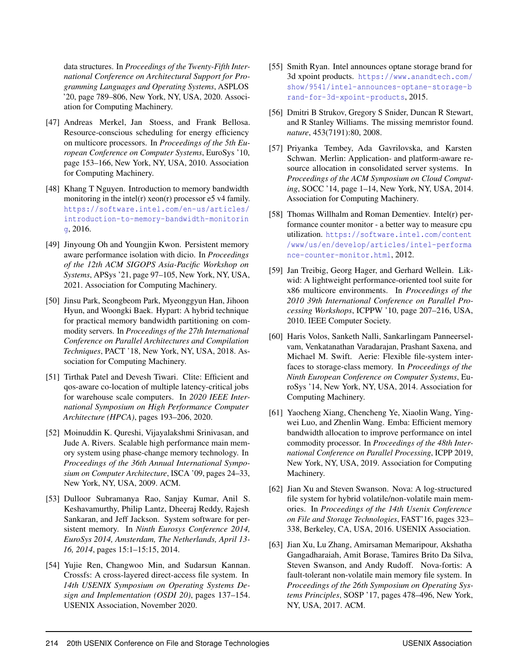data structures. In *Proceedings of the Twenty-Fifth International Conference on Architectural Support for Programming Languages and Operating Systems*, ASPLOS '20, page 789–806, New York, NY, USA, 2020. Association for Computing Machinery.

- <span id="page-16-16"></span>[47] Andreas Merkel, Jan Stoess, and Frank Bellosa. Resource-conscious scheduling for energy efficiency on multicore processors. In *Proceedings of the 5th European Conference on Computer Systems*, EuroSys '10, page 153–166, New York, NY, USA, 2010. Association for Computing Machinery.
- <span id="page-16-9"></span>[48] Khang T Nguyen. Introduction to memory bandwidth monitoring in the intel(r) xeon(r) processor e5 v4 family. [https://software.intel.com/en-us/articles/](https://software.intel.com/en-us/articles/introduction-to-memory-bandwidth-monitoring) [introduction-to-memory-bandwidth-monitorin](https://software.intel.com/en-us/articles/introduction-to-memory-bandwidth-monitoring) [g](https://software.intel.com/en-us/articles/introduction-to-memory-bandwidth-monitoring), 2016.
- <span id="page-16-8"></span>[49] Jinyoung Oh and Youngjin Kwon. Persistent memory aware performance isolation with dicio. In *Proceedings of the 12th ACM SIGOPS Asia-Pacific Workshop on Systems*, APSys '21, page 97–105, New York, NY, USA, 2021. Association for Computing Machinery.
- <span id="page-16-15"></span>[50] Jinsu Park, Seongbeom Park, Myeonggyun Han, Jihoon Hyun, and Woongki Baek. Hypart: A hybrid technique for practical memory bandwidth partitioning on commodity servers. In *Proceedings of the 27th International Conference on Parallel Architectures and Compilation Techniques*, PACT '18, New York, NY, USA, 2018. Association for Computing Machinery.
- <span id="page-16-10"></span>[51] Tirthak Patel and Devesh Tiwari. Clite: Efficient and qos-aware co-location of multiple latency-critical jobs for warehouse scale computers. In *2020 IEEE International Symposium on High Performance Computer Architecture (HPCA)*, pages 193–206, 2020.
- <span id="page-16-0"></span>[52] Moinuddin K. Qureshi, Vijayalakshmi Srinivasan, and Jude A. Rivers. Scalable high performance main memory system using phase-change memory technology. In *Proceedings of the 36th Annual International Symposium on Computer Architecture*, ISCA '09, pages 24–33, New York, NY, USA, 2009. ACM.
- <span id="page-16-3"></span>[53] Dulloor Subramanya Rao, Sanjay Kumar, Anil S. Keshavamurthy, Philip Lantz, Dheeraj Reddy, Rajesh Sankaran, and Jeff Jackson. System software for persistent memory. In *Ninth Eurosys Conference 2014, EuroSys 2014, Amsterdam, The Netherlands, April 13- 16, 2014*, pages 15:1–15:15, 2014.
- <span id="page-16-4"></span>[54] Yujie Ren, Changwoo Min, and Sudarsun Kannan. Crossfs: A cross-layered direct-access file system. In *14th USENIX Symposium on Operating Systems Design and Implementation (OSDI 20)*, pages 137–154. USENIX Association, November 2020.
- <span id="page-16-2"></span>[55] Smith Ryan. Intel announces optane storage brand for 3d xpoint products. [https://www.anandtech.com/](https://www.anandtech.com/show/9541/intel-announces-optane-storage-brand-for-3d-xpoint-products) [show/9541/intel-announces-optane-storage-b](https://www.anandtech.com/show/9541/intel-announces-optane-storage-brand-for-3d-xpoint-products) [rand-for-3d-xpoint-products](https://www.anandtech.com/show/9541/intel-announces-optane-storage-brand-for-3d-xpoint-products), 2015.
- <span id="page-16-1"></span>[56] Dmitri B Strukov, Gregory S Snider, Duncan R Stewart, and R Stanley Williams. The missing memristor found. *nature*, 453(7191):80, 2008.
- <span id="page-16-13"></span>[57] Priyanka Tembey, Ada Gavrilovska, and Karsten Schwan. Merlin: Application- and platform-aware resource allocation in consolidated server systems. In *Proceedings of the ACM Symposium on Cloud Computing*, SOCC '14, page 1–14, New York, NY, USA, 2014. Association for Computing Machinery.
- <span id="page-16-11"></span>[58] Thomas Willhalm and Roman Dementiev. Intel(r) performance counter monitor - a better way to measure cpu utilization. [https://software.intel.com/content](https://software.intel.com/content/www/us/en/develop/articles/intel-performance-counter-monitor.html) [/www/us/en/develop/articles/intel-performa](https://software.intel.com/content/www/us/en/develop/articles/intel-performance-counter-monitor.html) [nce-counter-monitor.html](https://software.intel.com/content/www/us/en/develop/articles/intel-performance-counter-monitor.html), 2012.
- <span id="page-16-12"></span>[59] Jan Treibig, Georg Hager, and Gerhard Wellein. Likwid: A lightweight performance-oriented tool suite for x86 multicore environments. In *Proceedings of the 2010 39th International Conference on Parallel Processing Workshops*, ICPPW '10, page 207–216, USA, 2010. IEEE Computer Society.
- <span id="page-16-5"></span>[60] Haris Volos, Sanketh Nalli, Sankarlingam Panneerselvam, Venkatanathan Varadarajan, Prashant Saxena, and Michael M. Swift. Aerie: Flexible file-system interfaces to storage-class memory. In *Proceedings of the Ninth European Conference on Computer Systems*, EuroSys '14, New York, NY, USA, 2014. Association for Computing Machinery.
- <span id="page-16-14"></span>[61] Yaocheng Xiang, Chencheng Ye, Xiaolin Wang, Yingwei Luo, and Zhenlin Wang. Emba: Efficient memory bandwidth allocation to improve performance on intel commodity processor. In *Proceedings of the 48th International Conference on Parallel Processing*, ICPP 2019, New York, NY, USA, 2019. Association for Computing Machinery.
- <span id="page-16-6"></span>[62] Jian Xu and Steven Swanson. Nova: A log-structured file system for hybrid volatile/non-volatile main memories. In *Proceedings of the 14th Usenix Conference on File and Storage Technologies*, FAST'16, pages 323– 338, Berkeley, CA, USA, 2016. USENIX Association.
- <span id="page-16-7"></span>[63] Jian Xu, Lu Zhang, Amirsaman Memaripour, Akshatha Gangadharaiah, Amit Borase, Tamires Brito Da Silva, Steven Swanson, and Andy Rudoff. Nova-fortis: A fault-tolerant non-volatile main memory file system. In *Proceedings of the 26th Symposium on Operating Systems Principles*, SOSP '17, pages 478–496, New York, NY, USA, 2017. ACM.